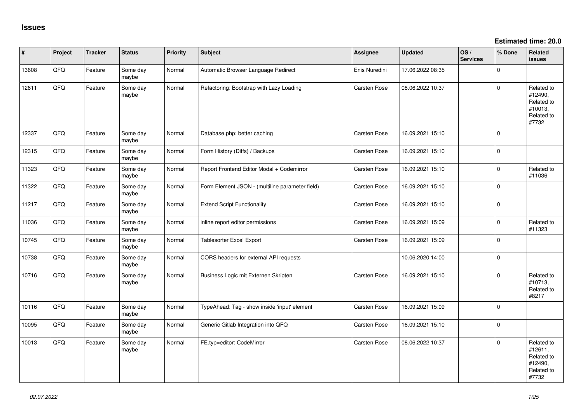**Estimated time: 20.0**

| #     | Project | <b>Tracker</b> | <b>Status</b>     | <b>Priority</b> | <b>Subject</b>                                  | <b>Assignee</b>     | <b>Updated</b>   | OS/<br><b>Services</b> | % Done      | Related<br><b>issues</b>                                              |
|-------|---------|----------------|-------------------|-----------------|-------------------------------------------------|---------------------|------------------|------------------------|-------------|-----------------------------------------------------------------------|
| 13608 | QFQ     | Feature        | Some day<br>maybe | Normal          | Automatic Browser Language Redirect             | Enis Nuredini       | 17.06.2022 08:35 |                        | $\Omega$    |                                                                       |
| 12611 | QFQ     | Feature        | Some day<br>maybe | Normal          | Refactoring: Bootstrap with Lazy Loading        | Carsten Rose        | 08.06.2022 10:37 |                        | $\Omega$    | Related to<br>#12490,<br>Related to<br>#10013,<br>Related to<br>#7732 |
| 12337 | QFQ     | Feature        | Some day<br>maybe | Normal          | Database.php: better caching                    | Carsten Rose        | 16.09.2021 15:10 |                        | $\Omega$    |                                                                       |
| 12315 | QFQ     | Feature        | Some day<br>maybe | Normal          | Form History (Diffs) / Backups                  | Carsten Rose        | 16.09.2021 15:10 |                        | $\mathbf 0$ |                                                                       |
| 11323 | QFQ     | Feature        | Some day<br>maybe | Normal          | Report Frontend Editor Modal + Codemirror       | Carsten Rose        | 16.09.2021 15:10 |                        | $\Omega$    | Related to<br>#11036                                                  |
| 11322 | QFQ     | Feature        | Some day<br>maybe | Normal          | Form Element JSON - (multiline parameter field) | Carsten Rose        | 16.09.2021 15:10 |                        | $\Omega$    |                                                                       |
| 11217 | QFQ     | Feature        | Some day<br>maybe | Normal          | <b>Extend Script Functionality</b>              | Carsten Rose        | 16.09.2021 15:10 |                        | $\mathbf 0$ |                                                                       |
| 11036 | QFQ     | Feature        | Some day<br>maybe | Normal          | inline report editor permissions                | Carsten Rose        | 16.09.2021 15:09 |                        | $\mathbf 0$ | Related to<br>#11323                                                  |
| 10745 | QFQ     | Feature        | Some day<br>maybe | Normal          | <b>Tablesorter Excel Export</b>                 | Carsten Rose        | 16.09.2021 15:09 |                        | $\Omega$    |                                                                       |
| 10738 | QFQ     | Feature        | Some day<br>maybe | Normal          | CORS headers for external API requests          |                     | 10.06.2020 14:00 |                        | $\Omega$    |                                                                       |
| 10716 | QFQ     | Feature        | Some day<br>maybe | Normal          | Business Logic mit Externen Skripten            | <b>Carsten Rose</b> | 16.09.2021 15:10 |                        | $\Omega$    | Related to<br>#10713,<br>Related to<br>#8217                          |
| 10116 | QFQ     | Feature        | Some day<br>maybe | Normal          | TypeAhead: Tag - show inside 'input' element    | Carsten Rose        | 16.09.2021 15:09 |                        | $\Omega$    |                                                                       |
| 10095 | QFQ     | Feature        | Some day<br>maybe | Normal          | Generic Gitlab Integration into QFQ             | <b>Carsten Rose</b> | 16.09.2021 15:10 |                        | $\mathbf 0$ |                                                                       |
| 10013 | QFQ     | Feature        | Some day<br>maybe | Normal          | FE.typ=editor: CodeMirror                       | <b>Carsten Rose</b> | 08.06.2022 10:37 |                        | $\Omega$    | Related to<br>#12611,<br>Related to<br>#12490,<br>Related to<br>#7732 |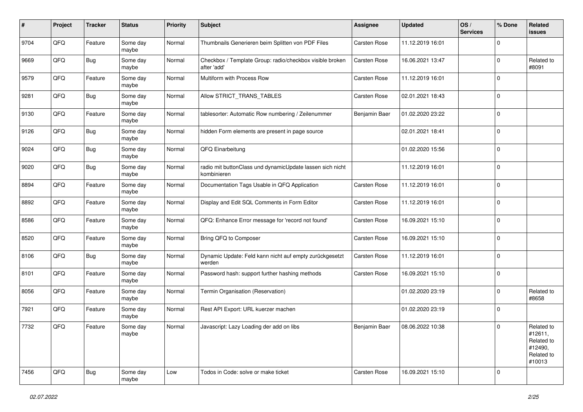| #    | Project | <b>Tracker</b> | <b>Status</b>     | <b>Priority</b> | <b>Subject</b>                                                           | Assignee            | <b>Updated</b>   | OS/<br><b>Services</b> | % Done      | Related<br>issues                                                      |
|------|---------|----------------|-------------------|-----------------|--------------------------------------------------------------------------|---------------------|------------------|------------------------|-------------|------------------------------------------------------------------------|
| 9704 | QFQ     | Feature        | Some day<br>maybe | Normal          | Thumbnails Generieren beim Splitten von PDF Files                        | Carsten Rose        | 11.12.2019 16:01 |                        | $\mathbf 0$ |                                                                        |
| 9669 | QFQ     | <b>Bug</b>     | Some day<br>maybe | Normal          | Checkbox / Template Group: radio/checkbox visible broken<br>after 'add'  | Carsten Rose        | 16.06.2021 13:47 |                        | $\mathbf 0$ | Related to<br>#8091                                                    |
| 9579 | QFQ     | Feature        | Some day<br>maybe | Normal          | Multiform with Process Row                                               | Carsten Rose        | 11.12.2019 16:01 |                        | $\mathbf 0$ |                                                                        |
| 9281 | QFQ     | <b>Bug</b>     | Some day<br>maybe | Normal          | Allow STRICT_TRANS_TABLES                                                | <b>Carsten Rose</b> | 02.01.2021 18:43 |                        | $\mathbf 0$ |                                                                        |
| 9130 | QFQ     | Feature        | Some day<br>maybe | Normal          | tablesorter: Automatic Row numbering / Zeilenummer                       | Benjamin Baer       | 01.02.2020 23:22 |                        | $\mathbf 0$ |                                                                        |
| 9126 | QFQ     | Bug            | Some day<br>maybe | Normal          | hidden Form elements are present in page source                          |                     | 02.01.2021 18:41 |                        | $\mathbf 0$ |                                                                        |
| 9024 | QFQ     | <b>Bug</b>     | Some day<br>maybe | Normal          | QFQ Einarbeitung                                                         |                     | 01.02.2020 15:56 |                        | $\mathbf 0$ |                                                                        |
| 9020 | QFQ     | <b>Bug</b>     | Some day<br>maybe | Normal          | radio mit buttonClass und dynamicUpdate lassen sich nicht<br>kombinieren |                     | 11.12.2019 16:01 |                        | $\mathbf 0$ |                                                                        |
| 8894 | QFQ     | Feature        | Some day<br>maybe | Normal          | Documentation Tags Usable in QFQ Application                             | Carsten Rose        | 11.12.2019 16:01 |                        | $\mathbf 0$ |                                                                        |
| 8892 | QFQ     | Feature        | Some day<br>maybe | Normal          | Display and Edit SQL Comments in Form Editor                             | Carsten Rose        | 11.12.2019 16:01 |                        | $\mathbf 0$ |                                                                        |
| 8586 | QFQ     | Feature        | Some day<br>maybe | Normal          | QFQ: Enhance Error message for 'record not found'                        | Carsten Rose        | 16.09.2021 15:10 |                        | $\mathbf 0$ |                                                                        |
| 8520 | QFQ     | Feature        | Some day<br>maybe | Normal          | Bring QFQ to Composer                                                    | <b>Carsten Rose</b> | 16.09.2021 15:10 |                        | $\mathbf 0$ |                                                                        |
| 8106 | QFQ     | <b>Bug</b>     | Some day<br>maybe | Normal          | Dynamic Update: Feld kann nicht auf empty zurückgesetzt<br>werden        | <b>Carsten Rose</b> | 11.12.2019 16:01 |                        | $\mathbf 0$ |                                                                        |
| 8101 | QFQ     | Feature        | Some day<br>maybe | Normal          | Password hash: support further hashing methods                           | Carsten Rose        | 16.09.2021 15:10 |                        | $\mathbf 0$ |                                                                        |
| 8056 | QFQ     | Feature        | Some day<br>maybe | Normal          | Termin Organisation (Reservation)                                        |                     | 01.02.2020 23:19 |                        | $\mathbf 0$ | Related to<br>#8658                                                    |
| 7921 | QFQ     | Feature        | Some day<br>maybe | Normal          | Rest API Export: URL kuerzer machen                                      |                     | 01.02.2020 23:19 |                        | l 0         |                                                                        |
| 7732 | QFQ     | Feature        | Some day<br>maybe | Normal          | Javascript: Lazy Loading der add on libs                                 | Benjamin Baer       | 08.06.2022 10:38 |                        | 0           | Related to<br>#12611,<br>Related to<br>#12490,<br>Related to<br>#10013 |
| 7456 | QFQ     | Bug            | Some day<br>maybe | Low             | Todos in Code: solve or make ticket                                      | Carsten Rose        | 16.09.2021 15:10 |                        | $\mathbf 0$ |                                                                        |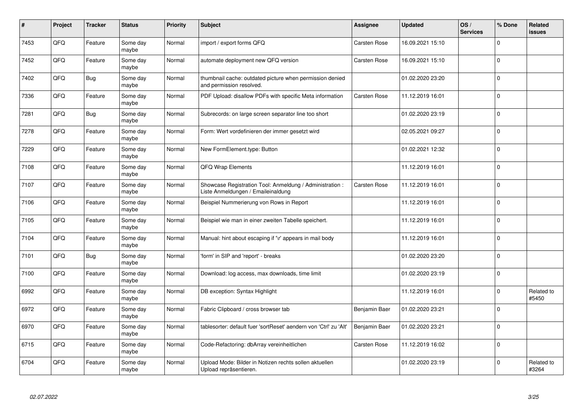| #    | Project | <b>Tracker</b> | <b>Status</b>     | <b>Priority</b> | <b>Subject</b>                                                                                 | Assignee            | <b>Updated</b>   | OS/<br><b>Services</b> | % Done       | Related<br><b>issues</b> |
|------|---------|----------------|-------------------|-----------------|------------------------------------------------------------------------------------------------|---------------------|------------------|------------------------|--------------|--------------------------|
| 7453 | QFQ     | Feature        | Some day<br>maybe | Normal          | import / export forms QFQ                                                                      | <b>Carsten Rose</b> | 16.09.2021 15:10 |                        | $\Omega$     |                          |
| 7452 | QFQ     | Feature        | Some day<br>maybe | Normal          | automate deployment new QFQ version                                                            | <b>Carsten Rose</b> | 16.09.2021 15:10 |                        | $\Omega$     |                          |
| 7402 | QFQ     | <b>Bug</b>     | Some day<br>maybe | Normal          | thumbnail cache: outdated picture when permission denied<br>and permission resolved.           |                     | 01.02.2020 23:20 |                        | $\mathbf 0$  |                          |
| 7336 | QFQ     | Feature        | Some day<br>maybe | Normal          | PDF Upload: disallow PDFs with specific Meta information                                       | Carsten Rose        | 11.12.2019 16:01 |                        | $\Omega$     |                          |
| 7281 | QFQ     | Bug            | Some day<br>maybe | Normal          | Subrecords: on large screen separator line too short                                           |                     | 01.02.2020 23:19 |                        | $\mathbf 0$  |                          |
| 7278 | QFQ     | Feature        | Some day<br>maybe | Normal          | Form: Wert vordefinieren der immer gesetzt wird                                                |                     | 02.05.2021 09:27 |                        | $\mathbf{0}$ |                          |
| 7229 | QFQ     | Feature        | Some day<br>maybe | Normal          | New FormElement.type: Button                                                                   |                     | 01.02.2021 12:32 |                        | $\Omega$     |                          |
| 7108 | QFQ     | Feature        | Some day<br>maybe | Normal          | QFQ Wrap Elements                                                                              |                     | 11.12.2019 16:01 |                        | $\Omega$     |                          |
| 7107 | QFQ     | Feature        | Some day<br>maybe | Normal          | Showcase Registration Tool: Anmeldung / Administration :<br>Liste Anmeldungen / Emaileinaldung | <b>Carsten Rose</b> | 11.12.2019 16:01 |                        | $\mathbf 0$  |                          |
| 7106 | QFQ     | Feature        | Some day<br>maybe | Normal          | Beispiel Nummerierung von Rows in Report                                                       |                     | 11.12.2019 16:01 |                        | $\mathbf 0$  |                          |
| 7105 | QFQ     | Feature        | Some day<br>maybe | Normal          | Beispiel wie man in einer zweiten Tabelle speichert.                                           |                     | 11.12.2019 16:01 |                        | $\Omega$     |                          |
| 7104 | QFQ     | Feature        | Some day<br>maybe | Normal          | Manual: hint about escaping if '\r' appears in mail body                                       |                     | 11.12.2019 16:01 |                        | $\mathbf 0$  |                          |
| 7101 | QFQ     | <b>Bug</b>     | Some day<br>maybe | Normal          | form' in SIP and 'report' - breaks                                                             |                     | 01.02.2020 23:20 |                        | $\mathbf 0$  |                          |
| 7100 | QFQ     | Feature        | Some day<br>maybe | Normal          | Download: log access, max downloads, time limit                                                |                     | 01.02.2020 23:19 |                        | $\Omega$     |                          |
| 6992 | QFQ     | Feature        | Some day<br>maybe | Normal          | DB exception: Syntax Highlight                                                                 |                     | 11.12.2019 16:01 |                        | $\Omega$     | Related to<br>#5450      |
| 6972 | QFQ     | Feature        | Some day<br>maybe | Normal          | Fabric Clipboard / cross browser tab                                                           | Benjamin Baer       | 01.02.2020 23:21 |                        | $\Omega$     |                          |
| 6970 | QFQ     | Feature        | Some day<br>maybe | Normal          | tablesorter: default fuer 'sortReset' aendern von 'Ctrl' zu 'Alt'                              | Benjamin Baer       | 01.02.2020 23:21 |                        | $\Omega$     |                          |
| 6715 | QFQ     | Feature        | Some day<br>maybe | Normal          | Code-Refactoring: dbArray vereinheitlichen                                                     | Carsten Rose        | 11.12.2019 16:02 |                        | $\Omega$     |                          |
| 6704 | QFQ     | Feature        | Some day<br>maybe | Normal          | Upload Mode: Bilder in Notizen rechts sollen aktuellen<br>Upload repräsentieren.               |                     | 01.02.2020 23:19 |                        | $\Omega$     | Related to<br>#3264      |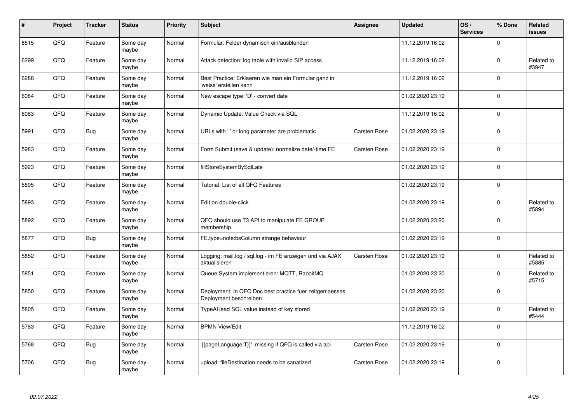| #    | Project | <b>Tracker</b> | <b>Status</b>     | <b>Priority</b> | <b>Subject</b>                                                                    | Assignee            | <b>Updated</b>   | OS/<br><b>Services</b> | % Done       | Related<br>issues   |
|------|---------|----------------|-------------------|-----------------|-----------------------------------------------------------------------------------|---------------------|------------------|------------------------|--------------|---------------------|
| 6515 | QFQ     | Feature        | Some day<br>maybe | Normal          | Formular: Felder dynamisch ein/ausblenden                                         |                     | 11.12.2019 16:02 |                        | $\Omega$     |                     |
| 6299 | QFQ     | Feature        | Some day<br>maybe | Normal          | Attack detection: log table with invalid SIP access                               |                     | 11.12.2019 16:02 |                        | $\mathbf{0}$ | Related to<br>#3947 |
| 6288 | QFQ     | Feature        | Some day<br>maybe | Normal          | Best Practice: Erklaeren wie man ein Formular ganz in<br>'weiss' erstellen kann   |                     | 11.12.2019 16:02 |                        | $\Omega$     |                     |
| 6084 | QFQ     | Feature        | Some day<br>maybe | Normal          | New escape type: 'D' - convert date                                               |                     | 01.02.2020 23:19 |                        | $\Omega$     |                     |
| 6083 | QFQ     | Feature        | Some day<br>maybe | Normal          | Dynamic Update: Value Check via SQL                                               |                     | 11.12.2019 16:02 |                        | l 0          |                     |
| 5991 | QFQ     | <b>Bug</b>     | Some day<br>maybe | Normal          | URLs with ' ' or long parameter are problematic                                   | <b>Carsten Rose</b> | 01.02.2020 23:19 |                        | $\Omega$     |                     |
| 5983 | QFQ     | Feature        | Some day<br>maybe | Normal          | Form Submit (save & update): normalize date/-time FE                              | Carsten Rose        | 01.02.2020 23:19 |                        | $\Omega$     |                     |
| 5923 | QFQ     | Feature        | Some day<br>maybe | Normal          | fillStoreSystemBySqlLate                                                          |                     | 01.02.2020 23:19 |                        | $\Omega$     |                     |
| 5895 | QFQ     | Feature        | Some day<br>maybe | Normal          | Tutorial: List of all QFQ Features                                                |                     | 01.02.2020 23:19 |                        | $\Omega$     |                     |
| 5893 | QFQ     | Feature        | Some day<br>maybe | Normal          | Edit on double-click                                                              |                     | 01.02.2020 23:19 |                        | $\mathbf 0$  | Related to<br>#5894 |
| 5892 | QFQ     | Feature        | Some day<br>maybe | Normal          | QFQ should use T3 API to manipulate FE GROUP<br>membership                        |                     | 01.02.2020 23:20 |                        | $\Omega$     |                     |
| 5877 | QFQ     | <b>Bug</b>     | Some day<br>maybe | Normal          | FE.type=note:bsColumn strange behaviour                                           |                     | 01.02.2020 23:19 |                        | $\mathbf 0$  |                     |
| 5852 | QFQ     | Feature        | Some day<br>maybe | Normal          | Logging: mail.log / sql.log - im FE anzeigen und via AJAX<br>aktualisieren        | <b>Carsten Rose</b> | 01.02.2020 23:19 |                        | $\mathbf 0$  | Related to<br>#5885 |
| 5851 | QFQ     | Feature        | Some day<br>maybe | Normal          | Queue System implementieren: MQTT, RabbitMQ                                       |                     | 01.02.2020 23:20 |                        | $\mathbf 0$  | Related to<br>#5715 |
| 5850 | QFQ     | Feature        | Some day<br>maybe | Normal          | Deployment: In QFQ Doc best practice fuer zeitgemaesses<br>Deployment beschreiben |                     | 01.02.2020 23:20 |                        | $\Omega$     |                     |
| 5805 | QFQ     | Feature        | Some day<br>maybe | Normal          | TypeAHead SQL value instead of key stored                                         |                     | 01.02.2020 23:19 |                        | $\Omega$     | Related to<br>#5444 |
| 5783 | QFQ     | Feature        | Some day<br>maybe | Normal          | <b>BPMN View/Edit</b>                                                             |                     | 11.12.2019 16:02 |                        | $\Omega$     |                     |
| 5768 | QFQ     | <b>Bug</b>     | Some day<br>maybe | Normal          | {{pageLanguage:T}}' missing if QFQ is called via api                              | Carsten Rose        | 01.02.2020 23:19 |                        | $\Omega$     |                     |
| 5706 | QFQ     | <b>Bug</b>     | Some day<br>maybe | Normal          | upload: fileDestination needs to be sanatized                                     | <b>Carsten Rose</b> | 01.02.2020 23:19 |                        | $\Omega$     |                     |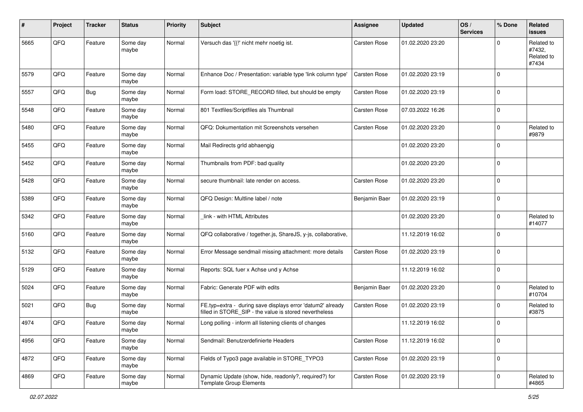| #    | Project | <b>Tracker</b> | <b>Status</b>     | <b>Priority</b> | <b>Subject</b>                                                                                                       | Assignee            | <b>Updated</b>   | OS/<br><b>Services</b> | % Done       | Related<br><b>issues</b>                    |
|------|---------|----------------|-------------------|-----------------|----------------------------------------------------------------------------------------------------------------------|---------------------|------------------|------------------------|--------------|---------------------------------------------|
| 5665 | QFQ     | Feature        | Some day<br>maybe | Normal          | Versuch das '{{!' nicht mehr noetig ist.                                                                             | Carsten Rose        | 01.02.2020 23:20 |                        | <sup>0</sup> | Related to<br>#7432,<br>Related to<br>#7434 |
| 5579 | QFQ     | Feature        | Some day<br>maybe | Normal          | Enhance Doc / Presentation: variable type 'link column type'                                                         | Carsten Rose        | 01.02.2020 23:19 |                        | $\mathbf{0}$ |                                             |
| 5557 | QFQ     | <b>Bug</b>     | Some day<br>maybe | Normal          | Form load: STORE_RECORD filled, but should be empty                                                                  | Carsten Rose        | 01.02.2020 23:19 |                        | $\mathbf 0$  |                                             |
| 5548 | QFQ     | Feature        | Some day<br>maybe | Normal          | 801 Textfiles/Scriptfiles als Thumbnail                                                                              | <b>Carsten Rose</b> | 07.03.2022 16:26 |                        | $\mathbf 0$  |                                             |
| 5480 | QFQ     | Feature        | Some day<br>maybe | Normal          | QFQ: Dokumentation mit Screenshots versehen                                                                          | Carsten Rose        | 01.02.2020 23:20 |                        | $\Omega$     | Related to<br>#9879                         |
| 5455 | QFQ     | Feature        | Some day<br>maybe | Normal          | Mail Redirects grld abhaengig                                                                                        |                     | 01.02.2020 23:20 |                        | $\mathbf 0$  |                                             |
| 5452 | QFQ     | Feature        | Some day<br>maybe | Normal          | Thumbnails from PDF: bad quality                                                                                     |                     | 01.02.2020 23:20 |                        | $\mathbf 0$  |                                             |
| 5428 | QFQ     | Feature        | Some day<br>maybe | Normal          | secure thumbnail: late render on access.                                                                             | Carsten Rose        | 01.02.2020 23:20 |                        | $\mathbf 0$  |                                             |
| 5389 | QFQ     | Feature        | Some day<br>maybe | Normal          | QFQ Design: Multline label / note                                                                                    | Benjamin Baer       | 01.02.2020 23:19 |                        | $\Omega$     |                                             |
| 5342 | QFQ     | Feature        | Some day<br>maybe | Normal          | link - with HTML Attributes                                                                                          |                     | 01.02.2020 23:20 |                        | $\mathbf 0$  | Related to<br>#14077                        |
| 5160 | QFQ     | Feature        | Some day<br>maybe | Normal          | QFQ collaborative / together.js, ShareJS, y-js, collaborative,                                                       |                     | 11.12.2019 16:02 |                        | l 0          |                                             |
| 5132 | QFQ     | Feature        | Some day<br>maybe | Normal          | Error Message sendmail missing attachment: more details                                                              | <b>Carsten Rose</b> | 01.02.2020 23:19 |                        | $\mathbf 0$  |                                             |
| 5129 | QFQ     | Feature        | Some day<br>maybe | Normal          | Reports: SQL fuer x Achse und y Achse                                                                                |                     | 11.12.2019 16:02 |                        | $\mathbf 0$  |                                             |
| 5024 | QFQ     | Feature        | Some day<br>maybe | Normal          | Fabric: Generate PDF with edits                                                                                      | Benjamin Baer       | 01.02.2020 23:20 |                        | $\Omega$     | Related to<br>#10704                        |
| 5021 | QFQ     | <b>Bug</b>     | Some day<br>maybe | Normal          | FE.typ=extra - during save displays error 'datum2' already<br>filled in STORE_SIP - the value is stored nevertheless | Carsten Rose        | 01.02.2020 23:19 |                        | $\mathbf 0$  | Related to<br>#3875                         |
| 4974 | QFQ     | Feature        | Some day<br>maybe | Normal          | Long polling - inform all listening clients of changes                                                               |                     | 11.12.2019 16:02 |                        | $\mathbf{0}$ |                                             |
| 4956 | QFQ     | Feature        | Some day<br>maybe | Normal          | Sendmail: Benutzerdefinierte Headers                                                                                 | Carsten Rose        | 11.12.2019 16:02 |                        | $\mathbf 0$  |                                             |
| 4872 | QFQ     | Feature        | Some day<br>maybe | Normal          | Fields of Typo3 page available in STORE_TYPO3                                                                        | Carsten Rose        | 01.02.2020 23:19 |                        | 0            |                                             |
| 4869 | QFQ     | Feature        | Some day<br>maybe | Normal          | Dynamic Update (show, hide, readonly?, required?) for<br><b>Template Group Elements</b>                              | Carsten Rose        | 01.02.2020 23:19 |                        | $\mathbf 0$  | Related to<br>#4865                         |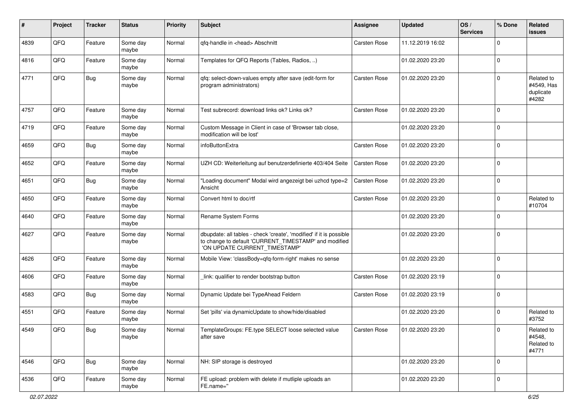| #    | Project        | <b>Tracker</b> | <b>Status</b>     | <b>Priority</b> | Subject                                                                                                                                                       | <b>Assignee</b>     | <b>Updated</b>   | OS/<br><b>Services</b> | % Done       | Related<br><b>issues</b>                       |
|------|----------------|----------------|-------------------|-----------------|---------------------------------------------------------------------------------------------------------------------------------------------------------------|---------------------|------------------|------------------------|--------------|------------------------------------------------|
| 4839 | QFQ            | Feature        | Some day<br>maybe | Normal          | qfq-handle in <head> Abschnitt</head>                                                                                                                         | Carsten Rose        | 11.12.2019 16:02 |                        | <sup>0</sup> |                                                |
| 4816 | QFQ            | Feature        | Some day<br>maybe | Normal          | Templates for QFQ Reports (Tables, Radios, )                                                                                                                  |                     | 01.02.2020 23:20 |                        | $\mathbf 0$  |                                                |
| 4771 | QFQ            | Bug            | Some day<br>maybe | Normal          | qfq: select-down-values empty after save (edit-form for<br>program administrators)                                                                            | <b>Carsten Rose</b> | 01.02.2020 23:20 |                        | <sup>0</sup> | Related to<br>#4549, Has<br>duplicate<br>#4282 |
| 4757 | QFQ            | Feature        | Some day<br>maybe | Normal          | Test subrecord: download links ok? Links ok?                                                                                                                  | <b>Carsten Rose</b> | 01.02.2020 23:20 |                        | $\Omega$     |                                                |
| 4719 | QFQ            | Feature        | Some day<br>maybe | Normal          | Custom Message in Client in case of 'Browser tab close,<br>modification will be lost'                                                                         |                     | 01.02.2020 23:20 |                        | $\Omega$     |                                                |
| 4659 | QFQ            | Bug            | Some day<br>maybe | Normal          | infoButtonExtra                                                                                                                                               | <b>Carsten Rose</b> | 01.02.2020 23:20 |                        | $\Omega$     |                                                |
| 4652 | QFQ            | Feature        | Some day<br>maybe | Normal          | UZH CD: Weiterleitung auf benutzerdefinierte 403/404 Seite                                                                                                    | <b>Carsten Rose</b> | 01.02.2020 23:20 |                        | $\Omega$     |                                                |
| 4651 | QFQ            | Bug            | Some day<br>maybe | Normal          | "Loading document" Modal wird angezeigt bei uzhcd type=2<br>Ansicht                                                                                           | <b>Carsten Rose</b> | 01.02.2020 23:20 |                        | $\Omega$     |                                                |
| 4650 | QFQ            | Feature        | Some day<br>maybe | Normal          | Convert html to doc/rtf                                                                                                                                       | <b>Carsten Rose</b> | 01.02.2020 23:20 |                        | 0            | Related to<br>#10704                           |
| 4640 | QFQ            | Feature        | Some day<br>maybe | Normal          | Rename System Forms                                                                                                                                           |                     | 01.02.2020 23:20 |                        | $\Omega$     |                                                |
| 4627 | QFQ            | Feature        | Some day<br>maybe | Normal          | dbupdate: all tables - check 'create', 'modified' if it is possible<br>to change to default 'CURRENT_TIMESTAMP' and modified<br>'ON UPDATE CURRENT_TIMESTAMP' |                     | 01.02.2020 23:20 |                        | 0            |                                                |
| 4626 | QFQ            | Feature        | Some day<br>maybe | Normal          | Mobile View: 'classBody=qfq-form-right' makes no sense                                                                                                        |                     | 01.02.2020 23:20 |                        | $\mathbf 0$  |                                                |
| 4606 | QFQ            | Feature        | Some day<br>maybe | Normal          | link: qualifier to render bootstrap button                                                                                                                    | <b>Carsten Rose</b> | 01.02.2020 23:19 |                        | 0            |                                                |
| 4583 | QFQ            | <b>Bug</b>     | Some day<br>maybe | Normal          | Dynamic Update bei TypeAhead Feldern                                                                                                                          | Carsten Rose        | 01.02.2020 23:19 |                        | $\Omega$     |                                                |
| 4551 | QFQ            | Feature        | Some day<br>maybe | Normal          | Set 'pills' via dynamicUpdate to show/hide/disabled                                                                                                           |                     | 01.02.2020 23:20 |                        | $\mathbf 0$  | Related to<br>#3752                            |
| 4549 | $\mathsf{QFQ}$ | <b>Bug</b>     | Some day<br>maybe | Normal          | TemplateGroups: FE.type SELECT loose selected value<br>after save                                                                                             | Carsten Rose        | 01.02.2020 23:20 |                        | $\mathbf 0$  | Related to<br>#4548.<br>Related to<br>#4771    |
| 4546 | QFQ            | <b>Bug</b>     | Some day<br>maybe | Normal          | NH: SIP storage is destroyed                                                                                                                                  |                     | 01.02.2020 23:20 |                        | $\mathbf 0$  |                                                |
| 4536 | QFG            | Feature        | Some day<br>maybe | Normal          | FE upload: problem with delete if mutliple uploads an<br>FE.name="                                                                                            |                     | 01.02.2020 23:20 |                        | 0            |                                                |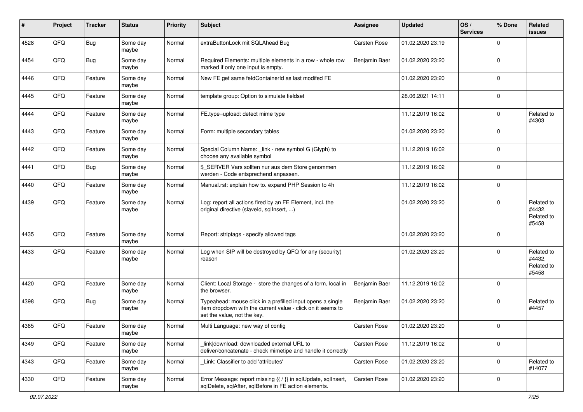| #    | Project | <b>Tracker</b> | <b>Status</b>     | <b>Priority</b> | <b>Subject</b>                                                                                                                                           | <b>Assignee</b>     | <b>Updated</b>   | OS/<br><b>Services</b> | % Done      | Related<br><b>issues</b>                    |
|------|---------|----------------|-------------------|-----------------|----------------------------------------------------------------------------------------------------------------------------------------------------------|---------------------|------------------|------------------------|-------------|---------------------------------------------|
| 4528 | QFQ     | <b>Bug</b>     | Some day<br>maybe | Normal          | extraButtonLock mit SQLAhead Bug                                                                                                                         | Carsten Rose        | 01.02.2020 23:19 |                        | $\Omega$    |                                             |
| 4454 | QFQ     | Bug            | Some day<br>maybe | Normal          | Required Elements: multiple elements in a row - whole row<br>marked if only one input is empty.                                                          | Benjamin Baer       | 01.02.2020 23:20 |                        | 0           |                                             |
| 4446 | QFQ     | Feature        | Some day<br>maybe | Normal          | New FE get same feldContainerId as last modifed FE                                                                                                       |                     | 01.02.2020 23:20 |                        | $\Omega$    |                                             |
| 4445 | QFQ     | Feature        | Some day<br>maybe | Normal          | template group: Option to simulate fieldset                                                                                                              |                     | 28.06.2021 14:11 |                        | $\mathbf 0$ |                                             |
| 4444 | QFQ     | Feature        | Some day<br>maybe | Normal          | FE.type=upload: detect mime type                                                                                                                         |                     | 11.12.2019 16:02 |                        | $\mathbf 0$ | Related to<br>#4303                         |
| 4443 | QFQ     | Feature        | Some day<br>maybe | Normal          | Form: multiple secondary tables                                                                                                                          |                     | 01.02.2020 23:20 |                        | $\Omega$    |                                             |
| 4442 | QFQ     | Feature        | Some day<br>maybe | Normal          | Special Column Name: _link - new symbol G (Glyph) to<br>choose any available symbol                                                                      |                     | 11.12.2019 16:02 |                        | $\Omega$    |                                             |
| 4441 | QFQ     | <b>Bug</b>     | Some day<br>maybe | Normal          | \$ SERVER Vars sollten nur aus dem Store genommen<br>werden - Code entsprechend anpassen.                                                                |                     | 11.12.2019 16:02 |                        | $\mathbf 0$ |                                             |
| 4440 | QFQ     | Feature        | Some day<br>maybe | Normal          | Manual.rst: explain how to. expand PHP Session to 4h                                                                                                     |                     | 11.12.2019 16:02 |                        | 0           |                                             |
| 4439 | QFQ     | Feature        | Some day<br>maybe | Normal          | Log: report all actions fired by an FE Element, incl. the<br>original directive (slaveld, sqllnsert, )                                                   |                     | 01.02.2020 23:20 |                        | $\Omega$    | Related to<br>#4432,<br>Related to<br>#5458 |
| 4435 | QFQ     | Feature        | Some day<br>maybe | Normal          | Report: striptags - specify allowed tags                                                                                                                 |                     | 01.02.2020 23:20 |                        | 0           |                                             |
| 4433 | QFQ     | Feature        | Some day<br>maybe | Normal          | Log when SIP will be destroyed by QFQ for any (security)<br>reason                                                                                       |                     | 01.02.2020 23:20 |                        | $\Omega$    | Related to<br>#4432,<br>Related to<br>#5458 |
| 4420 | QFQ     | Feature        | Some day<br>maybe | Normal          | Client: Local Storage - store the changes of a form, local in<br>the browser.                                                                            | Benjamin Baer       | 11.12.2019 16:02 |                        | $\mathbf 0$ |                                             |
| 4398 | QFQ     | <b>Bug</b>     | Some day<br>maybe | Normal          | Typeahead: mouse click in a prefilled input opens a single<br>item dropdown with the current value - click on it seems to<br>set the value, not the key. | Benjamin Baer       | 01.02.2020 23:20 |                        | $\mathbf 0$ | Related to<br>#4457                         |
| 4365 | QFQ     | Feature        | Some day<br>maybe | Normal          | Multi Language: new way of config                                                                                                                        | <b>Carsten Rose</b> | 01.02.2020 23:20 |                        | 0           |                                             |
| 4349 | QFO     | Feature        | Some day<br>maybe | Normal          | link download: downloaded external URL to<br>deliver/concatenate - check mimetipe and handle it correctly                                                | Carsten Rose        | 11.12.2019 16:02 |                        | $\mathbf 0$ |                                             |
| 4343 | QFQ     | Feature        | Some day<br>maybe | Normal          | Link: Classifier to add 'attributes'                                                                                                                     | Carsten Rose        | 01.02.2020 23:20 |                        | $\mathbf 0$ | Related to<br>#14077                        |
| 4330 | QFO     | Feature        | Some day<br>maybe | Normal          | Error Message: report missing {{ / }} in sqlUpdate, sqlInsert,<br>sqlDelete, sqlAfter, sqlBefore in FE action elements.                                  | <b>Carsten Rose</b> | 01.02.2020 23:20 |                        | 0           |                                             |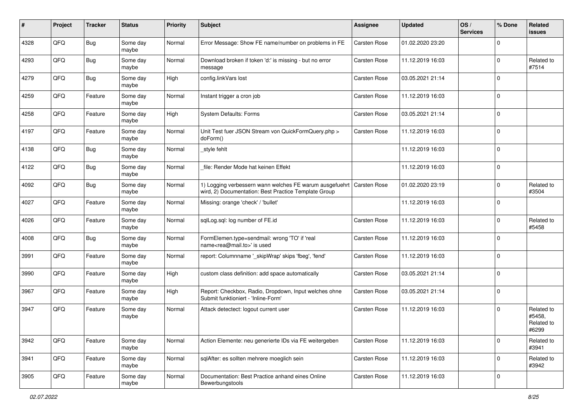| ∦    | Project | <b>Tracker</b> | <b>Status</b>     | <b>Priority</b> | Subject                                                                                                                        | <b>Assignee</b>     | <b>Updated</b>   | OS/<br><b>Services</b> | % Done      | Related<br>issues                           |
|------|---------|----------------|-------------------|-----------------|--------------------------------------------------------------------------------------------------------------------------------|---------------------|------------------|------------------------|-------------|---------------------------------------------|
| 4328 | QFQ     | Bug            | Some day<br>maybe | Normal          | Error Message: Show FE name/number on problems in FE                                                                           | Carsten Rose        | 01.02.2020 23:20 |                        | $\mathbf 0$ |                                             |
| 4293 | QFQ     | Bug            | Some day<br>maybe | Normal          | Download broken if token 'd:' is missing - but no error<br>message                                                             | <b>Carsten Rose</b> | 11.12.2019 16:03 |                        | $\mathbf 0$ | Related to<br>#7514                         |
| 4279 | QFQ     | Bug            | Some day<br>maybe | High            | config.linkVars lost                                                                                                           | Carsten Rose        | 03.05.2021 21:14 |                        | $\mathbf 0$ |                                             |
| 4259 | QFQ     | Feature        | Some day<br>maybe | Normal          | Instant trigger a cron job                                                                                                     | <b>Carsten Rose</b> | 11.12.2019 16:03 |                        | $\mathbf 0$ |                                             |
| 4258 | QFQ     | Feature        | Some day<br>maybe | High            | <b>System Defaults: Forms</b>                                                                                                  | <b>Carsten Rose</b> | 03.05.2021 21:14 |                        | $\mathbf 0$ |                                             |
| 4197 | QFQ     | Feature        | Some day<br>maybe | Normal          | Unit Test fuer JSON Stream von QuickFormQuery.php ><br>doForm()                                                                | <b>Carsten Rose</b> | 11.12.2019 16:03 |                        | $\mathbf 0$ |                                             |
| 4138 | QFQ     | <b>Bug</b>     | Some day<br>maybe | Normal          | style fehlt                                                                                                                    |                     | 11.12.2019 16:03 |                        | $\Omega$    |                                             |
| 4122 | QFQ     | <b>Bug</b>     | Some day<br>maybe | Normal          | file: Render Mode hat keinen Effekt                                                                                            |                     | 11.12.2019 16:03 |                        | $\mathbf 0$ |                                             |
| 4092 | QFQ     | <b>Bug</b>     | Some day<br>maybe | Normal          | 1) Logging verbessern wann welches FE warum ausgefuehrt   Carsten Rose<br>wird, 2) Documentation: Best Practice Template Group |                     | 01.02.2020 23:19 |                        | $\mathbf 0$ | Related to<br>#3504                         |
| 4027 | QFQ     | Feature        | Some day<br>maybe | Normal          | Missing: orange 'check' / 'bullet'                                                                                             |                     | 11.12.2019 16:03 |                        | $\mathbf 0$ |                                             |
| 4026 | QFQ     | Feature        | Some day<br>maybe | Normal          | sqlLog.sql: log number of FE.id                                                                                                | <b>Carsten Rose</b> | 11.12.2019 16:03 |                        | $\mathbf 0$ | Related to<br>#5458                         |
| 4008 | QFQ     | Bug            | Some day<br>maybe | Normal          | FormElemen.type=sendmail: wrong 'TO' if 'real<br>name <rea@mail.to>' is used</rea@mail.to>                                     | <b>Carsten Rose</b> | 11.12.2019 16:03 |                        | $\mathbf 0$ |                                             |
| 3991 | QFQ     | Feature        | Some day<br>maybe | Normal          | report: Columnname '_skipWrap' skips 'fbeg', 'fend'                                                                            | <b>Carsten Rose</b> | 11.12.2019 16:03 |                        | $\mathbf 0$ |                                             |
| 3990 | QFQ     | Feature        | Some day<br>maybe | High            | custom class definition: add space automatically                                                                               | Carsten Rose        | 03.05.2021 21:14 |                        | $\mathbf 0$ |                                             |
| 3967 | QFQ     | Feature        | Some day<br>maybe | High            | Report: Checkbox, Radio, Dropdown, Input welches ohne<br>Submit funktioniert - 'Inline-Form'                                   | <b>Carsten Rose</b> | 03.05.2021 21:14 |                        | $\mathbf 0$ |                                             |
| 3947 | QFQ     | Feature        | Some day<br>maybe | Normal          | Attack detectect: logout current user                                                                                          | <b>Carsten Rose</b> | 11.12.2019 16:03 |                        | $\mathbf 0$ | Related to<br>#5458,<br>Related to<br>#6299 |
| 3942 | QFQ     | Feature        | Some day<br>maybe | Normal          | Action Elemente: neu generierte IDs via FE weitergeben                                                                         | Carsten Rose        | 11.12.2019 16:03 |                        | $\mathbf 0$ | Related to<br>#3941                         |
| 3941 | QFQ     | Feature        | Some day<br>maybe | Normal          | sqlAfter: es sollten mehrere moeglich sein                                                                                     | Carsten Rose        | 11.12.2019 16:03 |                        | $\mathbf 0$ | Related to<br>#3942                         |
| 3905 | QFQ     | Feature        | Some day<br>maybe | Normal          | Documentation: Best Practice anhand eines Online<br>Bewerbungstools                                                            | Carsten Rose        | 11.12.2019 16:03 |                        | $\mathbf 0$ |                                             |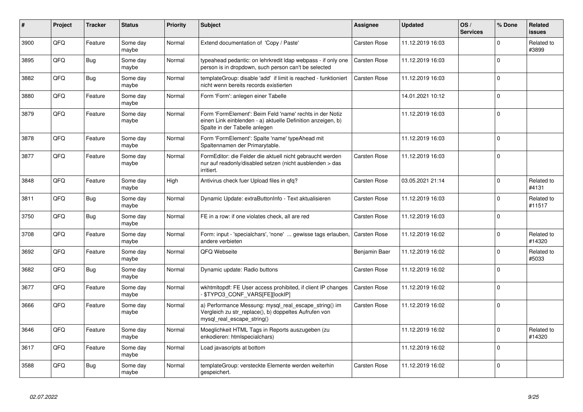| #    | Project | <b>Tracker</b> | <b>Status</b>     | <b>Priority</b> | <b>Subject</b>                                                                                                                                           | Assignee            | <b>Updated</b>   | OS/<br><b>Services</b> | % Done      | Related<br>issues    |
|------|---------|----------------|-------------------|-----------------|----------------------------------------------------------------------------------------------------------------------------------------------------------|---------------------|------------------|------------------------|-------------|----------------------|
| 3900 | QFQ     | Feature        | Some day<br>maybe | Normal          | Extend documentation of 'Copy / Paste'                                                                                                                   | <b>Carsten Rose</b> | 11.12.2019 16:03 |                        | $\mathbf 0$ | Related to<br>#3899  |
| 3895 | QFQ     | <b>Bug</b>     | Some dav<br>maybe | Normal          | typeahead pedantic: on lehrkredit Idap webpass - if only one<br>person is in dropdown, such person can't be selected                                     | <b>Carsten Rose</b> | 11.12.2019 16:03 |                        | $\Omega$    |                      |
| 3882 | QFQ     | <b>Bug</b>     | Some day<br>maybe | Normal          | templateGroup: disable 'add' if limit is reached - funktioniert<br>nicht wenn bereits records existierten                                                | Carsten Rose        | 11.12.2019 16:03 |                        | $\Omega$    |                      |
| 3880 | QFQ     | Feature        | Some day<br>maybe | Normal          | Form 'Form': anlegen einer Tabelle                                                                                                                       |                     | 14.01.2021 10:12 |                        | $\Omega$    |                      |
| 3879 | QFQ     | Feature        | Some day<br>maybe | Normal          | Form 'FormElement': Beim Feld 'name' rechts in der Notiz<br>einen Link einblenden - a) aktuelle Definition anzeigen, b)<br>Spalte in der Tabelle anlegen |                     | 11.12.2019 16:03 |                        | $\Omega$    |                      |
| 3878 | QFQ     | Feature        | Some day<br>maybe | Normal          | Form 'FormElement': Spalte 'name' typeAhead mit<br>Spaltennamen der Primarytable.                                                                        |                     | 11.12.2019 16:03 |                        | $\Omega$    |                      |
| 3877 | QFQ     | Feature        | Some dav<br>maybe | Normal          | FormEditor: die Felder die aktuell nicht gebraucht werden<br>nur auf readonly/disabled setzen (nicht ausblenden > das<br>irritiert.                      | <b>Carsten Rose</b> | 11.12.2019 16:03 |                        | $\Omega$    |                      |
| 3848 | QFQ     | Feature        | Some day<br>maybe | High            | Antivirus check fuer Upload files in qfq?                                                                                                                | Carsten Rose        | 03.05.2021 21:14 |                        | $\mathbf 0$ | Related to<br>#4131  |
| 3811 | QFQ     | Bug            | Some day<br>maybe | Normal          | Dynamic Update: extraButtonInfo - Text aktualisieren                                                                                                     | <b>Carsten Rose</b> | 11.12.2019 16:03 |                        | $\Omega$    | Related to<br>#11517 |
| 3750 | QFQ     | <b>Bug</b>     | Some dav<br>maybe | Normal          | FE in a row: if one violates check, all are red                                                                                                          | Carsten Rose        | 11.12.2019 16:03 |                        | $\Omega$    |                      |
| 3708 | QFQ     | Feature        | Some day<br>maybe | Normal          | Form: input - 'specialchars', 'none'  gewisse tags erlauben,<br>andere verbieten                                                                         | <b>Carsten Rose</b> | 11.12.2019 16:02 |                        | $\Omega$    | Related to<br>#14320 |
| 3692 | QFQ     | Feature        | Some day<br>maybe | Normal          | QFQ Webseite                                                                                                                                             | Benjamin Baer       | 11.12.2019 16:02 |                        | $\mathbf 0$ | Related to<br>#5033  |
| 3682 | QFQ     | Bug            | Some day<br>maybe | Normal          | Dynamic update: Radio buttons                                                                                                                            | Carsten Rose        | 11.12.2019 16:02 |                        | $\Omega$    |                      |
| 3677 | QFQ     | Feature        | Some day<br>maybe | Normal          | wkhtmltopdf: FE User access prohibited, if client IP changes<br>- \$TYPO3_CONF_VARS[FE][lockIP]                                                          | <b>Carsten Rose</b> | 11.12.2019 16:02 |                        | $\Omega$    |                      |
| 3666 | QFQ     | Feature        | Some day<br>maybe | Normal          | a) Performance Messung: mysql_real_escape_string() im<br>Vergleich zu str replace(), b) doppeltes Aufrufen von<br>mysql real escape string()             | <b>Carsten Rose</b> | 11.12.2019 16:02 |                        | $\Omega$    |                      |
| 3646 | QFQ     | Feature        | Some day<br>maybe | Normal          | Moeglichkeit HTML Tags in Reports auszugeben (zu<br>enkodieren: htmlspecialchars)                                                                        |                     | 11.12.2019 16:02 |                        | $\Omega$    | Related to<br>#14320 |
| 3617 | QFQ     | Feature        | Some day<br>maybe | Normal          | Load javascripts at bottom                                                                                                                               |                     | 11.12.2019 16:02 |                        | $\Omega$    |                      |
| 3588 | QFQ     | <b>Bug</b>     | Some day<br>maybe | Normal          | templateGroup: versteckte Elemente werden weiterhin<br>gespeichert.                                                                                      | Carsten Rose        | 11.12.2019 16:02 |                        | $\Omega$    |                      |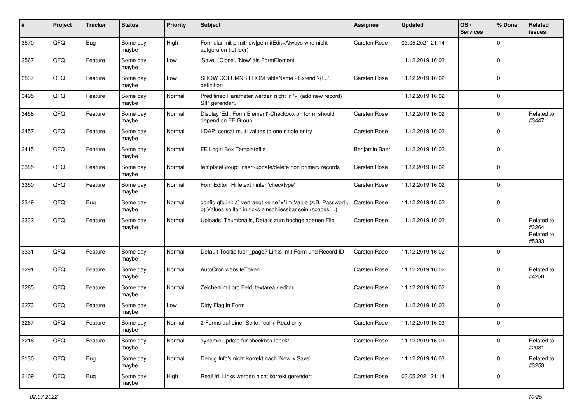| #    | Project | <b>Tracker</b> | <b>Status</b>     | <b>Priority</b> | Subject                                                                                                                       | <b>Assignee</b>     | <b>Updated</b>   | OS/<br><b>Services</b> | % Done       | Related<br>issues                           |
|------|---------|----------------|-------------------|-----------------|-------------------------------------------------------------------------------------------------------------------------------|---------------------|------------------|------------------------|--------------|---------------------------------------------|
| 3570 | QFQ     | Bug            | Some day<br>maybe | High            | Formular mit prmitnew permitEdit=Always wird nicht<br>aufgerufen (ist leer)                                                   | <b>Carsten Rose</b> | 03.05.2021 21:14 |                        | <sup>0</sup> |                                             |
| 3567 | QFQ     | Feature        | Some day<br>maybe | Low             | 'Save', 'Close', 'New' als FormElement                                                                                        |                     | 11.12.2019 16:02 |                        | $\Omega$     |                                             |
| 3537 | QFQ     | Feature        | Some day<br>maybe | Low             | SHOW COLUMNS FROM tableName - Extend '{{!'<br>definition                                                                      | <b>Carsten Rose</b> | 11.12.2019 16:02 |                        | 0            |                                             |
| 3495 | QFQ     | Feature        | Some day<br>maybe | Normal          | Predifined Parameter werden nicht in '+' (add new record)<br>SIP gerendert.                                                   |                     | 11.12.2019 16:02 |                        | 0            |                                             |
| 3458 | QFQ     | Feature        | Some day<br>maybe | Normal          | Display 'Edit Form Element'-Checkbox on form: should<br>depend on FE Group                                                    | <b>Carsten Rose</b> | 11.12.2019 16:02 |                        | $\Omega$     | Related to<br>#3447                         |
| 3457 | QFQ     | Feature        | Some day<br>maybe | Normal          | LDAP: concat multi values to one single entry                                                                                 | <b>Carsten Rose</b> | 11.12.2019 16:02 |                        | 0            |                                             |
| 3415 | QFQ     | Feature        | Some day<br>maybe | Normal          | FE Login Box Templatefile                                                                                                     | Benjamin Baer       | 11.12.2019 16:02 |                        | $\Omega$     |                                             |
| 3385 | QFQ     | Feature        | Some day<br>maybe | Normal          | templateGroup: insert/update/delete non primary records                                                                       | <b>Carsten Rose</b> | 11.12.2019 16:02 |                        | 0            |                                             |
| 3350 | QFQ     | Feature        | Some day<br>maybe | Normal          | FormEditor: Hilfetext hinter 'checktype'                                                                                      | <b>Carsten Rose</b> | 11.12.2019 16:02 |                        | 0            |                                             |
| 3349 | QFQ     | Bug            | Some day<br>maybe | Normal          | config.qfq.ini: a) vertraegt keine '=' im Value (z.B. Passwort),<br>b) Values sollten in ticks einschliessbar sein (spaces, ) | Carsten Rose        | 11.12.2019 16:02 |                        | 0            |                                             |
| 3332 | QFQ     | Feature        | Some day<br>maybe | Normal          | Uploads: Thumbnails, Details zum hochgeladenen File                                                                           | Carsten Rose        | 11.12.2019 16:02 |                        | $\Omega$     | Related to<br>#3264,<br>Related to<br>#5333 |
| 3331 | QFQ     | Feature        | Some day<br>maybe | Normal          | Default Tooltip fuer _page? Links: mit Form und Record ID                                                                     | <b>Carsten Rose</b> | 11.12.2019 16:02 |                        | $\Omega$     |                                             |
| 3291 | QFQ     | Feature        | Some day<br>maybe | Normal          | AutoCron websiteToken                                                                                                         | Carsten Rose        | 11.12.2019 16:02 |                        | $\Omega$     | Related to<br>#4250                         |
| 3285 | QFQ     | Feature        | Some day<br>maybe | Normal          | Zeichenlimit pro Feld: textarea / editor                                                                                      | <b>Carsten Rose</b> | 11.12.2019 16:02 |                        | $\Omega$     |                                             |
| 3273 | QFQ     | Feature        | Some day<br>maybe | Low             | Dirty Flag in Form                                                                                                            | <b>Carsten Rose</b> | 11.12.2019 16:02 |                        | $\Omega$     |                                             |
| 3267 | QFQ     | Feature        | Some day<br>maybe | Normal          | 2 Forms auf einer Seite: real + Read only                                                                                     | <b>Carsten Rose</b> | 11.12.2019 16:03 |                        | 0            |                                             |
| 3216 | QFQ     | Feature        | Some day<br>maybe | Normal          | dynamic update für checkbox label2                                                                                            | <b>Carsten Rose</b> | 11.12.2019 16:03 |                        | $\mathbf 0$  | Related to<br>#2081                         |
| 3130 | QFQ     | <b>Bug</b>     | Some day<br>maybe | Normal          | Debug Info's nicht korrekt nach 'New > Save'.                                                                                 | Carsten Rose        | 11.12.2019 16:03 |                        | 0            | Related to<br>#3253                         |
| 3109 | QFQ     | <b>Bug</b>     | Some day<br>maybe | High            | RealUrl: Links werden nicht korrekt gerendert                                                                                 | Carsten Rose        | 03.05.2021 21:14 |                        | $\mathbf 0$  |                                             |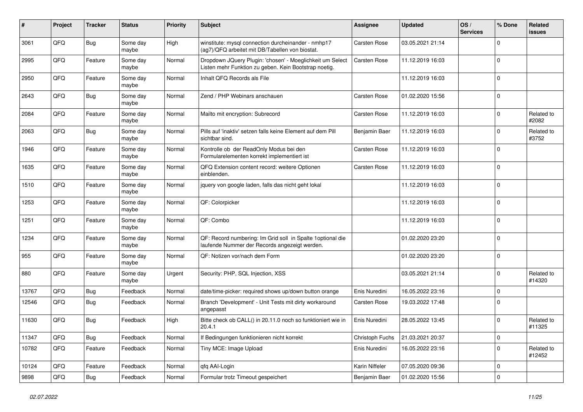| #     | Project        | <b>Tracker</b> | <b>Status</b>     | <b>Priority</b> | Subject                                                                                                            | <b>Assignee</b>     | <b>Updated</b>   | OS/<br><b>Services</b> | % Done       | Related<br>issues    |
|-------|----------------|----------------|-------------------|-----------------|--------------------------------------------------------------------------------------------------------------------|---------------------|------------------|------------------------|--------------|----------------------|
| 3061  | QFQ            | Bug            | Some day<br>maybe | High            | winstitute: mysql connection durcheinander - nmhp17<br>(ag7)/QFQ arbeitet mit DB/Tabellen von biostat.             | <b>Carsten Rose</b> | 03.05.2021 21:14 |                        | <sup>0</sup> |                      |
| 2995  | QFQ            | Feature        | Some day<br>maybe | Normal          | Dropdown JQuery Plugin: 'chosen' - Moeglichkeit um Select<br>Listen mehr Funktion zu geben. Kein Bootstrap noetig. | <b>Carsten Rose</b> | 11.12.2019 16:03 |                        | 0            |                      |
| 2950  | QFQ            | Feature        | Some day<br>maybe | Normal          | Inhalt QFQ Records als File                                                                                        |                     | 11.12.2019 16:03 |                        | 0            |                      |
| 2643  | QFQ            | <b>Bug</b>     | Some day<br>maybe | Normal          | Zend / PHP Webinars anschauen                                                                                      | <b>Carsten Rose</b> | 01.02.2020 15:56 |                        | 0            |                      |
| 2084  | QFQ            | Feature        | Some day<br>maybe | Normal          | Mailto mit encryption: Subrecord                                                                                   | <b>Carsten Rose</b> | 11.12.2019 16:03 |                        | $\Omega$     | Related to<br>#2082  |
| 2063  | QFQ            | <b>Bug</b>     | Some day<br>maybe | Normal          | Pills auf 'inaktiv' setzen falls keine Element auf dem Pill<br>sichtbar sind.                                      | Benjamin Baer       | 11.12.2019 16:03 |                        | 0            | Related to<br>#3752  |
| 1946  | QFQ            | Feature        | Some day<br>maybe | Normal          | Kontrolle ob der ReadOnly Modus bei den<br>Formularelementen korrekt implementiert ist                             | Carsten Rose        | 11.12.2019 16:03 |                        | $\Omega$     |                      |
| 1635  | QFQ            | Feature        | Some day<br>maybe | Normal          | QFQ Extension content record: weitere Optionen<br>einblenden.                                                      | <b>Carsten Rose</b> | 11.12.2019 16:03 |                        | 0            |                      |
| 1510  | QFQ            | Feature        | Some day<br>maybe | Normal          | jquery von google laden, falls das nicht geht lokal                                                                |                     | 11.12.2019 16:03 |                        | 0            |                      |
| 1253  | QFQ            | Feature        | Some day<br>maybe | Normal          | QF: Colorpicker                                                                                                    |                     | 11.12.2019 16:03 |                        | 0            |                      |
| 1251  | QFQ            | Feature        | Some day<br>maybe | Normal          | QF: Combo                                                                                                          |                     | 11.12.2019 16:03 |                        | $\mathbf 0$  |                      |
| 1234  | QFQ            | Feature        | Some day<br>maybe | Normal          | QF: Record numbering: Im Grid soll in Spalte 1optional die<br>laufende Nummer der Records angezeigt werden.        |                     | 01.02.2020 23:20 |                        | $\Omega$     |                      |
| 955   | QFQ            | Feature        | Some day<br>maybe | Normal          | QF: Notizen vor/nach dem Form                                                                                      |                     | 01.02.2020 23:20 |                        | $\Omega$     |                      |
| 880   | QFQ            | Feature        | Some day<br>maybe | Urgent          | Security: PHP, SQL Injection, XSS                                                                                  |                     | 03.05.2021 21:14 |                        | $\Omega$     | Related to<br>#14320 |
| 13767 | QFQ            | Bug            | Feedback          | Normal          | date/time-picker: required shows up/down button orange                                                             | Enis Nuredini       | 16.05.2022 23:16 |                        | 0            |                      |
| 12546 | QFQ            | Bug            | Feedback          | Normal          | Branch 'Development' - Unit Tests mit dirty workaround<br>angepasst                                                | <b>Carsten Rose</b> | 19.03.2022 17:48 |                        | 0            |                      |
| 11630 | QFQ            | Bug            | Feedback          | High            | Bitte check ob CALL() in 20.11.0 noch so funktioniert wie in<br>20.4.1                                             | Enis Nuredini       | 28.05.2022 13:45 |                        | $\Omega$     | Related to<br>#11325 |
| 11347 | QFQ            | <b>Bug</b>     | Feedback          | Normal          | If Bedingungen funktionieren nicht korrekt                                                                         | Christoph Fuchs     | 21.03.2021 20:37 |                        | 0            |                      |
| 10782 | QFQ            | Feature        | Feedback          | Normal          | Tiny MCE: Image Upload                                                                                             | Enis Nuredini       | 16.05.2022 23:16 |                        | 0            | Related to<br>#12452 |
| 10124 | QFQ            | Feature        | Feedback          | Normal          | qfq AAI-Login                                                                                                      | Karin Niffeler      | 07.05.2020 09:36 |                        | 0            |                      |
| 9898  | $\mathsf{QFQ}$ | Bug            | Feedback          | Normal          | Formular trotz Timeout gespeichert                                                                                 | Benjamin Baer       | 01.02.2020 15:56 |                        | 0            |                      |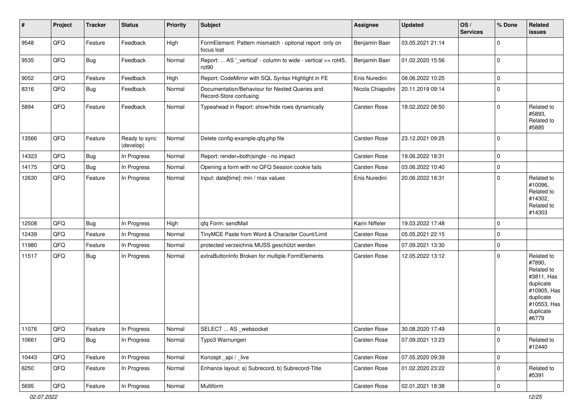| #     | Project        | <b>Tracker</b> | <b>Status</b>              | <b>Priority</b> | Subject                                                                            | Assignee            | <b>Updated</b>   | OS/<br><b>Services</b> | % Done      | Related<br>issues                                                                                                              |
|-------|----------------|----------------|----------------------------|-----------------|------------------------------------------------------------------------------------|---------------------|------------------|------------------------|-------------|--------------------------------------------------------------------------------------------------------------------------------|
| 9548  | QFQ            | Feature        | Feedback                   | High            | FormElement: Pattern mismatch - optional report only on<br>focus lost              | Benjamin Baer       | 03.05.2021 21:14 |                        | $\Omega$    |                                                                                                                                |
| 9535  | QFQ            | Bug            | Feedback                   | Normal          | Report:  AS '_vertical' - column to wide - vertical >> rot45,<br>rot <sub>90</sub> | Benjamin Baer       | 01.02.2020 15:56 |                        | $\mathbf 0$ |                                                                                                                                |
| 9052  | QFQ            | Feature        | Feedback                   | High            | Report: CodeMirror with SQL Syntax Highlight in FE                                 | Enis Nuredini       | 08.06.2022 10:25 |                        | $\mathbf 0$ |                                                                                                                                |
| 8316  | QFQ            | <b>Bug</b>     | Feedback                   | Normal          | Documentation/Behaviour for Nested Queries and<br>Record-Store confusing           | Nicola Chiapolini   | 20.11.2019 09:14 |                        | $\Omega$    |                                                                                                                                |
| 5894  | QFQ            | Feature        | Feedback                   | Normal          | Typeahead in Report: show/hide rows dynamically                                    | Carsten Rose        | 18.02.2022 08:50 |                        | $\Omega$    | Related to<br>#5893,<br>Related to<br>#5885                                                                                    |
| 13566 | QFQ            | Feature        | Ready to sync<br>(develop) | Normal          | Delete config-example.qfq.php file                                                 | <b>Carsten Rose</b> | 23.12.2021 09:25 |                        | $\mathbf 0$ |                                                                                                                                |
| 14323 | QFQ            | Bug            | In Progress                | Normal          | Report: render=both single - no impact                                             | <b>Carsten Rose</b> | 19.06.2022 18:31 |                        | $\mathbf 0$ |                                                                                                                                |
| 14175 | QFQ            | <b>Bug</b>     | In Progress                | Normal          | Opening a form with no QFQ Session cookie fails                                    | Carsten Rose        | 03.06.2022 10:40 |                        | $\mathbf 0$ |                                                                                                                                |
| 12630 | QFQ            | Feature        | In Progress                | Normal          | Input: date[time]: min / max values                                                | Enis Nuredini       | 20.06.2022 18:31 |                        | $\Omega$    | Related to<br>#10096,<br>Related to<br>#14302,<br>Related to<br>#14303                                                         |
| 12508 | QFQ            | <b>Bug</b>     | In Progress                | High            | qfq Form: sendMail                                                                 | Karin Niffeler      | 19.03.2022 17:48 |                        | $\mathbf 0$ |                                                                                                                                |
| 12439 | QFQ            | Feature        | In Progress                | Normal          | TinyMCE Paste from Word & Character Count/Limit                                    | Carsten Rose        | 05.05.2021 22:15 |                        | $\mathbf 0$ |                                                                                                                                |
| 11980 | QFQ            | Feature        | In Progress                | Normal          | protected verzeichnis MUSS geschützt werden                                        | Carsten Rose        | 07.09.2021 13:30 |                        | $\mathbf 0$ |                                                                                                                                |
| 11517 | QFQ            | <b>Bug</b>     | In Progress                | Normal          | extraButtonInfo Broken for multiple FormElements                                   | <b>Carsten Rose</b> | 12.05.2022 13:12 |                        | $\mathbf 0$ | Related to<br>#7890,<br>Related to<br>#3811, Has<br>duplicate<br>#10905, Has<br>duplicate<br>#10553, Has<br>duplicate<br>#6779 |
| 11076 | $\mathsf{QFQ}$ | Feature        | In Progress                | Normal          | SELECT  AS _websocket                                                              | Carsten Rose        | 30.08.2020 17:49 |                        | 0           |                                                                                                                                |
| 10661 | QFQ            | Bug            | In Progress                | Normal          | Typo3 Warnungen                                                                    | <b>Carsten Rose</b> | 07.09.2021 13:23 |                        | $\mathbf 0$ | Related to<br>#12440                                                                                                           |
| 10443 | QFQ            | Feature        | In Progress                | Normal          | Konzept_api / _live                                                                | Carsten Rose        | 07.05.2020 09:39 |                        | $\mathbf 0$ |                                                                                                                                |
| 6250  | QFQ            | Feature        | In Progress                | Normal          | Enhance layout: a) Subrecord, b) Subrecord-Title                                   | Carsten Rose        | 01.02.2020 23:22 |                        | $\mathbf 0$ | Related to<br>#5391                                                                                                            |
| 5695  | QFQ            | Feature        | In Progress                | Normal          | Multiform                                                                          | Carsten Rose        | 02.01.2021 18:38 |                        | 0           |                                                                                                                                |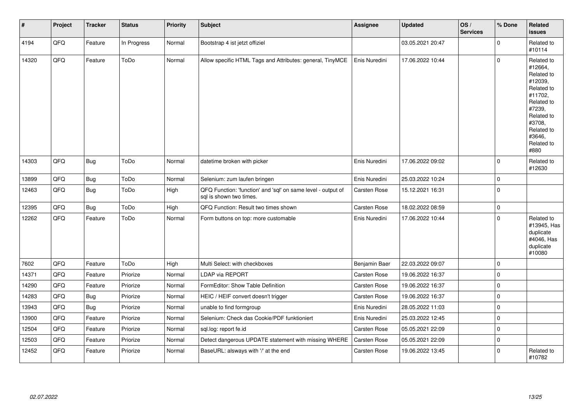| $\vert$ # | Project | <b>Tracker</b> | <b>Status</b> | <b>Priority</b> | <b>Subject</b>                                                                          | <b>Assignee</b>     | <b>Updated</b>   | OS/<br><b>Services</b> | % Done      | Related<br><b>issues</b>                                                                                                                                              |
|-----------|---------|----------------|---------------|-----------------|-----------------------------------------------------------------------------------------|---------------------|------------------|------------------------|-------------|-----------------------------------------------------------------------------------------------------------------------------------------------------------------------|
| 4194      | QFQ     | Feature        | In Progress   | Normal          | Bootstrap 4 ist jetzt offiziel                                                          |                     | 03.05.2021 20:47 |                        | $\Omega$    | Related to<br>#10114                                                                                                                                                  |
| 14320     | QFQ     | Feature        | ToDo          | Normal          | Allow specific HTML Tags and Attributes: general, TinyMCE                               | Enis Nuredini       | 17.06.2022 10:44 |                        | $\Omega$    | Related to<br>#12664,<br>Related to<br>#12039,<br>Related to<br>#11702.<br>Related to<br>#7239,<br>Related to<br>#3708,<br>Related to<br>#3646.<br>Related to<br>#880 |
| 14303     | QFQ     | <b>Bug</b>     | ToDo          | Normal          | datetime broken with picker                                                             | Enis Nuredini       | 17.06.2022 09:02 |                        | $\mathbf 0$ | Related to<br>#12630                                                                                                                                                  |
| 13899     | QFQ     | <b>Bug</b>     | ToDo          | Normal          | Selenium: zum laufen bringen                                                            | Enis Nuredini       | 25.03.2022 10:24 |                        | $\mathbf 0$ |                                                                                                                                                                       |
| 12463     | QFQ     | <b>Bug</b>     | ToDo          | High            | QFQ Function: 'function' and 'sql' on same level - output of<br>sql is shown two times. | <b>Carsten Rose</b> | 15.12.2021 16:31 |                        | $\mathbf 0$ |                                                                                                                                                                       |
| 12395     | QFQ     | Bug            | ToDo          | High            | QFQ Function: Result two times shown                                                    | <b>Carsten Rose</b> | 18.02.2022 08:59 |                        | $\mathbf 0$ |                                                                                                                                                                       |
| 12262     | QFQ     | Feature        | ToDo          | Normal          | Form buttons on top: more customable                                                    | Enis Nuredini       | 17.06.2022 10:44 |                        | $\Omega$    | Related to<br>#13945, Has<br>duplicate<br>#4046, Has<br>duplicate<br>#10080                                                                                           |
| 7602      | QFG     | Feature        | ToDo          | High            | Multi Select: with checkboxes                                                           | Benjamin Baer       | 22.03.2022 09:07 |                        | $\Omega$    |                                                                                                                                                                       |
| 14371     | QFQ     | Feature        | Priorize      | Normal          | <b>LDAP via REPORT</b>                                                                  | <b>Carsten Rose</b> | 19.06.2022 16:37 |                        | $\mathbf 0$ |                                                                                                                                                                       |
| 14290     | QFQ     | Feature        | Priorize      | Normal          | FormEditor: Show Table Definition                                                       | <b>Carsten Rose</b> | 19.06.2022 16:37 |                        | $\mathbf 0$ |                                                                                                                                                                       |
| 14283     | QFQ     | <b>Bug</b>     | Priorize      | Normal          | HEIC / HEIF convert doesn't trigger                                                     | <b>Carsten Rose</b> | 19.06.2022 16:37 |                        | $\mathbf 0$ |                                                                                                                                                                       |
| 13943     | QFO     | <b>Bug</b>     | Priorize      | Normal          | unable to find formgroup                                                                | Enis Nuredini       | 28.05.2022 11:03 |                        | $\mathbf 0$ |                                                                                                                                                                       |
| 13900     | QFQ     | Feature        | Priorize      | Normal          | Selenium: Check das Cookie/PDF funktioniert                                             | Enis Nuredini       | 25.03.2022 12:45 |                        | $\mathbf 0$ |                                                                                                                                                                       |
| 12504     | QFQ     | Feature        | Priorize      | Normal          | sql.log: report fe.id                                                                   | <b>Carsten Rose</b> | 05.05.2021 22:09 |                        | $\Omega$    |                                                                                                                                                                       |
| 12503     | QFQ     | Feature        | Priorize      | Normal          | Detect dangerous UPDATE statement with missing WHERE                                    | Carsten Rose        | 05.05.2021 22:09 |                        | $\mathbf 0$ |                                                                                                                                                                       |
| 12452     | QFQ     | Feature        | Priorize      | Normal          | BaseURL: alsways with '/' at the end                                                    | <b>Carsten Rose</b> | 19.06.2022 13:45 |                        | $\mathbf 0$ | Related to<br>#10782                                                                                                                                                  |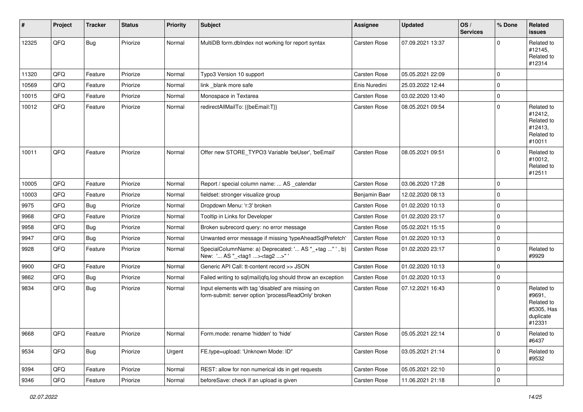| #     | Project | <b>Tracker</b> | <b>Status</b> | <b>Priority</b> | Subject                                                                                                  | <b>Assignee</b>     | <b>Updated</b>   | OS/<br><b>Services</b> | % Done              | Related<br><b>issues</b>                                                |
|-------|---------|----------------|---------------|-----------------|----------------------------------------------------------------------------------------------------------|---------------------|------------------|------------------------|---------------------|-------------------------------------------------------------------------|
| 12325 | QFQ     | Bug            | Priorize      | Normal          | MultiDB form.dblndex not working for report syntax                                                       | <b>Carsten Rose</b> | 07.09.2021 13:37 |                        | 0                   | Related to<br>#12145,<br>Related to<br>#12314                           |
| 11320 | QFQ     | Feature        | Priorize      | Normal          | Typo3 Version 10 support                                                                                 | <b>Carsten Rose</b> | 05.05.2021 22:09 |                        | $\Omega$            |                                                                         |
| 10569 | QFQ     | Feature        | Priorize      | Normal          | link blank more safe                                                                                     | Enis Nuredini       | 25.03.2022 12:44 |                        | $\mathbf 0$         |                                                                         |
| 10015 | QFQ     | Feature        | Priorize      | Normal          | Monospace in Textarea                                                                                    | <b>Carsten Rose</b> | 03.02.2020 13:40 |                        | $\Omega$            |                                                                         |
| 10012 | QFQ     | Feature        | Priorize      | Normal          | redirectAllMailTo: {{beEmail:T}}                                                                         | Carsten Rose        | 08.05.2021 09:54 |                        | $\Omega$            | Related to<br>#12412,<br>Related to<br>#12413,<br>Related to<br>#10011  |
| 10011 | QFQ     | Feature        | Priorize      | Normal          | Offer new STORE_TYPO3 Variable 'beUser', 'beEmail'                                                       | <b>Carsten Rose</b> | 08.05.2021 09:51 |                        | $\Omega$            | Related to<br>#10012,<br>Related to<br>#12511                           |
| 10005 | QFQ     | Feature        | Priorize      | Normal          | Report / special column name:  AS _calendar                                                              | <b>Carsten Rose</b> | 03.06.2020 17:28 |                        | $\mathbf 0$         |                                                                         |
| 10003 | QFQ     | Feature        | Priorize      | Normal          | fieldset: stronger visualize group                                                                       | Benjamin Baer       | 12.02.2020 08:13 |                        | $\mathbf 0$         |                                                                         |
| 9975  | QFQ     | Bug            | Priorize      | Normal          | Dropdown Menu: 'r:3' broken                                                                              | Carsten Rose        | 01.02.2020 10:13 |                        | $\Omega$            |                                                                         |
| 9968  | QFQ     | Feature        | Priorize      | Normal          | Tooltip in Links for Developer                                                                           | Carsten Rose        | 01.02.2020 23:17 |                        | $\mathbf 0$         |                                                                         |
| 9958  | QFQ     | Bug            | Priorize      | Normal          | Broken subrecord query: no error message                                                                 | <b>Carsten Rose</b> | 05.02.2021 15:15 |                        | $\mathbf 0$         |                                                                         |
| 9947  | QFQ     | Bug            | Priorize      | Normal          | Unwanted error message if missing 'typeAheadSqlPrefetch'                                                 | <b>Carsten Rose</b> | 01.02.2020 10:13 |                        | $\Omega$            |                                                                         |
| 9928  | QFQ     | Feature        | Priorize      | Normal          | SpecialColumnName: a) Deprecated: ' AS "_+tag " ', b)<br>New: ' AS "_ <tag1><tag2>"</tag2></tag1>        | <b>Carsten Rose</b> | 01.02.2020 23:17 |                        | $\mathbf 0$         | Related to<br>#9929                                                     |
| 9900  | QFQ     | Feature        | Priorize      | Normal          | Generic API Call: tt-content record >> JSON                                                              | Carsten Rose        | 01.02.2020 10:13 |                        | $\mathbf 0$         |                                                                         |
| 9862  | QFQ     | Bug            | Priorize      | Normal          | Failed writing to sql mail qfq.log should throw an exception                                             | <b>Carsten Rose</b> | 01.02.2020 10:13 |                        | 0                   |                                                                         |
| 9834  | QFQ     | Bug            | Priorize      | Normal          | Input elements with tag 'disabled' are missing on<br>form-submit: server option 'processReadOnly' broken | Carsten Rose        | 07.12.2021 16:43 |                        | $\Omega$            | Related to<br>#9691,<br>Related to<br>#5305, Has<br>duplicate<br>#12331 |
| 9668  | QFQ     | Feature        | Priorize      | Normal          | Form.mode: rename 'hidden' to 'hide'                                                                     | Carsten Rose        | 05.05.2021 22:14 |                        | $\overline{0}$      | Related to<br>#6437                                                     |
| 9534  | QFQ     | Bug            | Priorize      | Urgent          | FE.type=upload: 'Unknown Mode: ID"                                                                       | Carsten Rose        | 03.05.2021 21:14 |                        | $\mathbf 0$         | Related to<br>#9532                                                     |
| 9394  | QFQ     | Feature        | Priorize      | Normal          | REST: allow for non numerical ids in get requests                                                        | Carsten Rose        | 05.05.2021 22:10 |                        | 0                   |                                                                         |
| 9346  | QFQ     | Feature        | Priorize      | Normal          | beforeSave: check if an upload is given                                                                  | Carsten Rose        | 11.06.2021 21:18 |                        | $\mathsf{O}\xspace$ |                                                                         |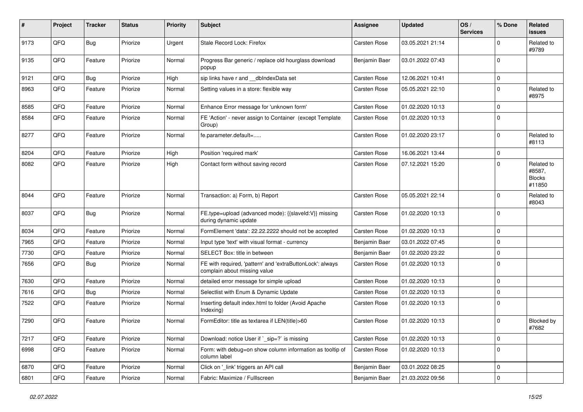| #    | Project | <b>Tracker</b> | <b>Status</b> | <b>Priority</b> | <b>Subject</b>                                                                            | <b>Assignee</b>     | <b>Updated</b>   | OS/<br><b>Services</b> | % Done       | Related<br>issues                               |
|------|---------|----------------|---------------|-----------------|-------------------------------------------------------------------------------------------|---------------------|------------------|------------------------|--------------|-------------------------------------------------|
| 9173 | QFQ     | Bug            | Priorize      | Urgent          | Stale Record Lock: Firefox                                                                | Carsten Rose        | 03.05.2021 21:14 |                        | <sup>0</sup> | Related to<br>#9789                             |
| 9135 | QFQ     | Feature        | Priorize      | Normal          | Progress Bar generic / replace old hourglass download<br>popup                            | Benjamin Baer       | 03.01.2022 07:43 |                        | $\Omega$     |                                                 |
| 9121 | QFQ     | Bug            | Priorize      | High            | sip links have r and __dblndexData set                                                    | <b>Carsten Rose</b> | 12.06.2021 10:41 |                        | 0            |                                                 |
| 8963 | QFQ     | Feature        | Priorize      | Normal          | Setting values in a store: flexible way                                                   | <b>Carsten Rose</b> | 05.05.2021 22:10 |                        | $\Omega$     | Related to<br>#8975                             |
| 8585 | QFQ     | Feature        | Priorize      | Normal          | Enhance Error message for 'unknown form'                                                  | <b>Carsten Rose</b> | 01.02.2020 10:13 |                        | $\Omega$     |                                                 |
| 8584 | QFQ     | Feature        | Priorize      | Normal          | FE 'Action' - never assign to Container (except Template<br>Group)                        | <b>Carsten Rose</b> | 01.02.2020 10:13 |                        | 0            |                                                 |
| 8277 | QFQ     | Feature        | Priorize      | Normal          | fe.parameter.default=                                                                     | <b>Carsten Rose</b> | 01.02.2020 23:17 |                        | 0            | Related to<br>#8113                             |
| 8204 | QFQ     | Feature        | Priorize      | High            | Position 'required mark'                                                                  | <b>Carsten Rose</b> | 16.06.2021 13:44 |                        | 0            |                                                 |
| 8082 | QFQ     | Feature        | Priorize      | High            | Contact form without saving record                                                        | Carsten Rose        | 07.12.2021 15:20 |                        | $\Omega$     | Related to<br>#8587,<br><b>Blocks</b><br>#11850 |
| 8044 | QFQ     | Feature        | Priorize      | Normal          | Transaction: a) Form, b) Report                                                           | <b>Carsten Rose</b> | 05.05.2021 22:14 |                        | 0            | Related to<br>#8043                             |
| 8037 | QFQ     | Bug            | Priorize      | Normal          | FE.type=upload (advanced mode): {{slaveld:V}} missing<br>during dynamic update            | <b>Carsten Rose</b> | 01.02.2020 10:13 |                        | $\Omega$     |                                                 |
| 8034 | QFQ     | Feature        | Priorize      | Normal          | FormElement 'data': 22.22.2222 should not be accepted                                     | <b>Carsten Rose</b> | 01.02.2020 10:13 |                        | $\Omega$     |                                                 |
| 7965 | QFQ     | Feature        | Priorize      | Normal          | Input type 'text' with visual format - currency                                           | Benjamin Baer       | 03.01.2022 07:45 |                        | 0            |                                                 |
| 7730 | QFQ     | Feature        | Priorize      | Normal          | SELECT Box: title in between                                                              | Benjamin Baer       | 01.02.2020 23:22 |                        | 0            |                                                 |
| 7656 | QFQ     | Bug            | Priorize      | Normal          | FE with required, 'pattern' and 'extraButtonLock': always<br>complain about missing value | <b>Carsten Rose</b> | 01.02.2020 10:13 |                        | $\Omega$     |                                                 |
| 7630 | QFQ     | Feature        | Priorize      | Normal          | detailed error message for simple upload                                                  | <b>Carsten Rose</b> | 01.02.2020 10:13 |                        | 0            |                                                 |
| 7616 | QFQ     | Bug            | Priorize      | Normal          | Selectlist with Enum & Dynamic Update                                                     | <b>Carsten Rose</b> | 01.02.2020 10:13 |                        | $\Omega$     |                                                 |
| 7522 | QFQ     | Feature        | Priorize      | Normal          | Inserting default index.html to folder (Avoid Apache<br>Indexing)                         | Carsten Rose        | 01.02.2020 10:13 |                        | $\Omega$     |                                                 |
| 7290 | QFQ     | Feature        | Priorize      | Normal          | FormEditor: title as textarea if LEN(title)>60                                            | <b>Carsten Rose</b> | 01.02.2020 10:13 |                        | $\Omega$     | Blocked by<br>#7682                             |
| 7217 | QFQ     | Feature        | Priorize      | Normal          | Download: notice User if `_sip=?` is missing                                              | Carsten Rose        | 01.02.2020 10:13 |                        | 0            |                                                 |
| 6998 | QFQ     | Feature        | Priorize      | Normal          | Form: with debug=on show column information as tooltip of<br>column label                 | Carsten Rose        | 01.02.2020 10:13 |                        | $\mathbf 0$  |                                                 |
| 6870 | QFQ     | Feature        | Priorize      | Normal          | Click on '_link' triggers an API call                                                     | Benjamin Baer       | 03.01.2022 08:25 |                        | 0            |                                                 |
| 6801 | QFG     | Feature        | Priorize      | Normal          | Fabric: Maximize / FullIscreen                                                            | Benjamin Baer       | 21.03.2022 09:56 |                        | $\mathbf 0$  |                                                 |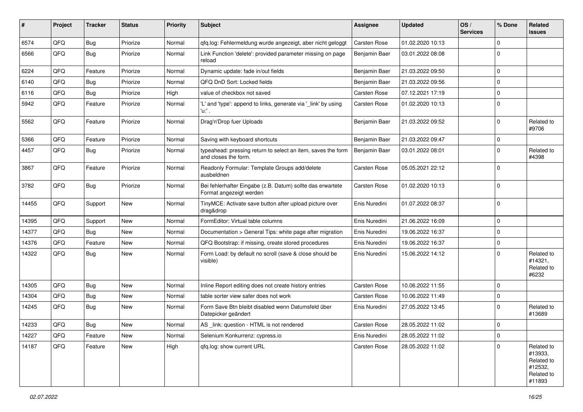| ∦     | Project | <b>Tracker</b> | <b>Status</b> | <b>Priority</b> | <b>Subject</b>                                                                        | <b>Assignee</b>     | <b>Updated</b>   | OS/<br><b>Services</b> | % Done      | Related<br>issues                                                      |
|-------|---------|----------------|---------------|-----------------|---------------------------------------------------------------------------------------|---------------------|------------------|------------------------|-------------|------------------------------------------------------------------------|
| 6574  | QFQ     | Bug            | Priorize      | Normal          | qfq.log: Fehlermeldung wurde angezeigt, aber nicht geloggt                            | <b>Carsten Rose</b> | 01.02.2020 10:13 |                        | $\mathbf 0$ |                                                                        |
| 6566  | QFQ     | Bug            | Priorize      | Normal          | Link Function 'delete': provided parameter missing on page<br>reload                  | Benjamin Baer       | 03.01.2022 08:08 |                        | $\Omega$    |                                                                        |
| 6224  | QFQ     | Feature        | Priorize      | Normal          | Dynamic update: fade in/out fields                                                    | Benjamin Baer       | 21.03.2022 09:50 |                        | $\mathbf 0$ |                                                                        |
| 6140  | QFQ     | <b>Bug</b>     | Priorize      | Normal          | QFQ DnD Sort: Locked fields                                                           | Benjamin Baer       | 21.03.2022 09:56 |                        | $\mathbf 0$ |                                                                        |
| 6116  | QFQ     | Bug            | Priorize      | High            | value of checkbox not saved                                                           | <b>Carsten Rose</b> | 07.12.2021 17:19 |                        | $\mathbf 0$ |                                                                        |
| 5942  | QFQ     | Feature        | Priorize      | Normal          | 'L' and 'type': append to links, generate via '_link' by using<br>'u.' .              | Carsten Rose        | 01.02.2020 10:13 |                        | $\mathbf 0$ |                                                                        |
| 5562  | QFQ     | Feature        | Priorize      | Normal          | Drag'n'Drop fuer Uploads                                                              | Benjamin Baer       | 21.03.2022 09:52 |                        | $\mathbf 0$ | Related to<br>#9706                                                    |
| 5366  | QFQ     | Feature        | Priorize      | Normal          | Saving with keyboard shortcuts                                                        | Benjamin Baer       | 21.03.2022 09:47 |                        | $\mathbf 0$ |                                                                        |
| 4457  | QFQ     | Bug            | Priorize      | Normal          | typeahead: pressing return to select an item, saves the form<br>and closes the form.  | Benjamin Baer       | 03.01.2022 08:01 |                        | $\mathbf 0$ | Related to<br>#4398                                                    |
| 3867  | QFQ     | Feature        | Priorize      | Normal          | Readonly Formular: Template Groups add/delete<br>ausbeldnen                           | <b>Carsten Rose</b> | 05.05.2021 22:12 |                        | $\mathbf 0$ |                                                                        |
| 3782  | QFQ     | <b>Bug</b>     | Priorize      | Normal          | Bei fehlerhafter Eingabe (z.B. Datum) sollte das erwartete<br>Format angezeigt werden | Carsten Rose        | 01.02.2020 10:13 |                        | $\mathbf 0$ |                                                                        |
| 14455 | QFQ     | Support        | New           | Normal          | TinyMCE: Activate save button after upload picture over<br>drag&drop                  | Enis Nuredini       | 01.07.2022 08:37 |                        | $\mathbf 0$ |                                                                        |
| 14395 | QFQ     | Support        | New           | Normal          | FormEditor: Virtual table columns                                                     | Enis Nuredini       | 21.06.2022 16:09 |                        | $\mathbf 0$ |                                                                        |
| 14377 | QFQ     | <b>Bug</b>     | <b>New</b>    | Normal          | Documentation > General Tips: white page after migration                              | Enis Nuredini       | 19.06.2022 16:37 |                        | $\mathbf 0$ |                                                                        |
| 14376 | QFQ     | Feature        | <b>New</b>    | Normal          | QFQ Bootstrap: if missing, create stored procedures                                   | Enis Nuredini       | 19.06.2022 16:37 |                        | $\mathbf 0$ |                                                                        |
| 14322 | QFQ     | Bug            | New           | Normal          | Form Load: by default no scroll (save & close should be<br>visible)                   | Enis Nuredini       | 15.06.2022 14:12 |                        | $\Omega$    | Related to<br>#14321,<br>Related to<br>#6232                           |
| 14305 | QFQ     | Bug            | <b>New</b>    | Normal          | Inline Report editing does not create history entries                                 | <b>Carsten Rose</b> | 10.06.2022 11:55 |                        | $\mathbf 0$ |                                                                        |
| 14304 | QFQ     | <b>Bug</b>     | <b>New</b>    | Normal          | table sorter view safer does not work                                                 | Carsten Rose        | 10.06.2022 11:49 |                        | $\mathbf 0$ |                                                                        |
| 14245 | QFQ     | Bug            | New           | Normal          | Form Save Btn bleibt disabled wenn Datumsfeld über<br>Datepicker geändert             | Enis Nuredini       | 27.05.2022 13:45 |                        | $\mathbf 0$ | Related to<br>#13689                                                   |
| 14233 | QFQ     | Bug            | <b>New</b>    | Normal          | AS link: question - HTML is not rendered                                              | <b>Carsten Rose</b> | 28.05.2022 11:02 |                        | $\mathbf 0$ |                                                                        |
| 14227 | QFQ     | Feature        | New           | Normal          | Selenium Konkurrenz: cypress.io                                                       | Enis Nuredini       | 28.05.2022 11:02 |                        | 0           |                                                                        |
| 14187 | QFQ     | Feature        | New           | High            | qfq.log: show current URL                                                             | Carsten Rose        | 28.05.2022 11:02 |                        | $\mathbf 0$ | Related to<br>#13933,<br>Related to<br>#12532,<br>Related to<br>#11893 |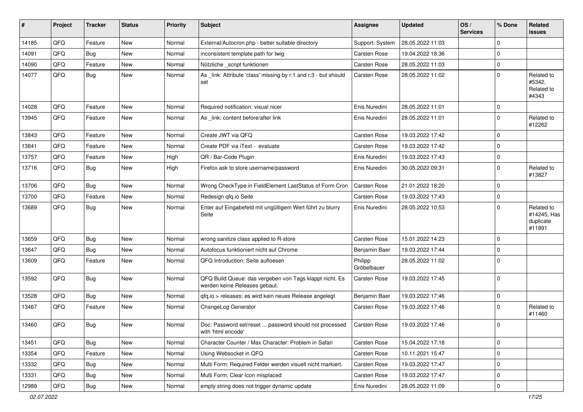| #     | Project | <b>Tracker</b> | <b>Status</b> | <b>Priority</b> | <b>Subject</b>                                                                           | <b>Assignee</b>        | <b>Updated</b>   | OS/<br><b>Services</b> | % Done         | Related<br><b>issues</b>                         |
|-------|---------|----------------|---------------|-----------------|------------------------------------------------------------------------------------------|------------------------|------------------|------------------------|----------------|--------------------------------------------------|
| 14185 | QFQ     | Feature        | New           | Normal          | External/Autocron.php - better suitable directory                                        | Support: System        | 28.05.2022 11:03 |                        | $\Omega$       |                                                  |
| 14091 | QFQ     | Bug            | New           | Normal          | inconsistent template path for twig                                                      | Carsten Rose           | 19.04.2022 18:36 |                        | $\Omega$       |                                                  |
| 14090 | QFQ     | Feature        | <b>New</b>    | Normal          | Nützliche _script funktionen                                                             | Carsten Rose           | 28.05.2022 11:03 |                        | $\mathbf 0$    |                                                  |
| 14077 | QFQ     | Bug            | New           | Normal          | As _link: Attribute 'class' missing by r:1 and r:3 - but should<br>set                   | Carsten Rose           | 28.05.2022 11:02 |                        | $\Omega$       | Related to<br>#5342,<br>Related to<br>#4343      |
| 14028 | QFQ     | Feature        | New           | Normal          | Required notification: visual nicer                                                      | Enis Nuredini          | 28.05.2022 11:01 |                        | $\Omega$       |                                                  |
| 13945 | QFQ     | Feature        | <b>New</b>    | Normal          | As _link: content before/after link                                                      | Enis Nuredini          | 28.05.2022 11:01 |                        | $\Omega$       | Related to<br>#12262                             |
| 13843 | QFQ     | Feature        | <b>New</b>    | Normal          | Create JWT via QFQ                                                                       | Carsten Rose           | 19.03.2022 17:42 |                        | $\mathbf 0$    |                                                  |
| 13841 | QFQ     | Feature        | New           | Normal          | Create PDF via iText - evaluate                                                          | <b>Carsten Rose</b>    | 19.03.2022 17:42 |                        | $\mathbf 0$    |                                                  |
| 13757 | QFQ     | Feature        | New           | High            | QR / Bar-Code Plugin                                                                     | Enis Nuredini          | 19.03.2022 17:43 |                        | 0              |                                                  |
| 13716 | QFQ     | Bug            | New           | High            | Firefox ask to store username/password                                                   | Enis Nuredini          | 30.05.2022 09:31 |                        | $\Omega$       | Related to<br>#13827                             |
| 13706 | QFQ     | Bug            | New           | Normal          | Wrong CheckType in FieldElement LastStatus of Form Cron                                  | <b>Carsten Rose</b>    | 21.01.2022 18:20 |                        | 0              |                                                  |
| 13700 | QFQ     | Feature        | <b>New</b>    | Normal          | Redesign qfq.io Seite                                                                    | Carsten Rose           | 19.03.2022 17:43 |                        | $\Omega$       |                                                  |
| 13689 | QFQ     | Bug            | New           | Normal          | Enter auf Eingabefeld mit ungültigem Wert führt zu blurry<br>Seite                       | Enis Nuredini          | 28.05.2022 10:53 |                        | $\Omega$       | Related to<br>#14245, Has<br>duplicate<br>#11891 |
| 13659 | QFQ     | Bug            | New           | Normal          | wrong sanitize class applied to R-store                                                  | <b>Carsten Rose</b>    | 15.01.2022 14:23 |                        | $\mathbf 0$    |                                                  |
| 13647 | QFQ     | Bug            | New           | Normal          | Autofocus funktioniert nicht auf Chrome                                                  | Benjamin Baer          | 19.03.2022 17:44 |                        | $\mathbf 0$    |                                                  |
| 13609 | QFQ     | Feature        | New           | Normal          | QFQ Introduction: Seite aufloesen                                                        | Philipp<br>Gröbelbauer | 28.05.2022 11:02 |                        | 0              |                                                  |
| 13592 | QFQ     | Bug            | New           | Normal          | QFQ Build Queue: das vergeben von Tags klappt nicht. Es<br>werden keine Releases gebaut. | <b>Carsten Rose</b>    | 19.03.2022 17:45 |                        | $\Omega$       |                                                  |
| 13528 | QFQ     | Bug            | New           | Normal          | qfq.io > releases: es wird kein neues Release angelegt                                   | Benjamin Baer          | 19.03.2022 17:46 |                        | $\Omega$       |                                                  |
| 13467 | QFQ     | Feature        | <b>New</b>    | Normal          | ChangeLog Generator                                                                      | <b>Carsten Rose</b>    | 19.03.2022 17:46 |                        | $\Omega$       | Related to<br>#11460                             |
| 13460 | QFQ     | Bug            | New           | Normal          | Doc: Password set/reset  password should not processed<br>with 'html encode'             | <b>Carsten Rose</b>    | 19.03.2022 17:46 |                        | $\mathbf 0$    |                                                  |
| 13451 | QFQ     | <b>Bug</b>     | <b>New</b>    | Normal          | Character Counter / Max Character: Problem in Safari                                     | Carsten Rose           | 15.04.2022 17:18 |                        | $\overline{0}$ |                                                  |
| 13354 | QFQ     | Feature        | New           | Normal          | Using Websocket in QFQ                                                                   | Carsten Rose           | 10.11.2021 15:47 |                        | $\mathbf 0$    |                                                  |
| 13332 | QFQ     | <b>Bug</b>     | New           | Normal          | Multi Form: Required Felder werden visuell nicht markiert.                               | Carsten Rose           | 19.03.2022 17:47 |                        | 0              |                                                  |
| 13331 | QFQ     | <b>Bug</b>     | New           | Normal          | Multi Form: Clear Icon misplaced                                                         | Carsten Rose           | 19.03.2022 17:47 |                        | 0              |                                                  |
| 12989 | QFQ     | <b>Bug</b>     | New           | Normal          | empty string does not trigger dynamic update                                             | Enis Nuredini          | 28.05.2022 11:09 |                        | 0              |                                                  |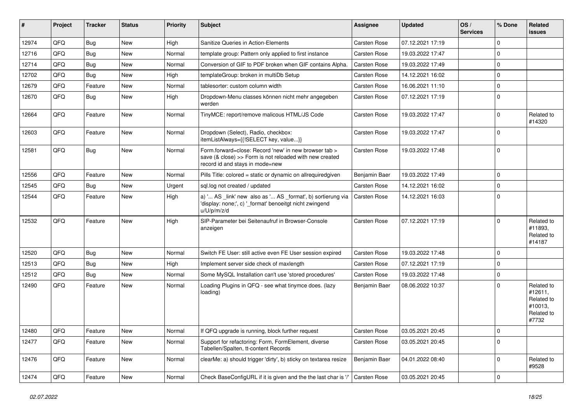| #     | Project | <b>Tracker</b> | <b>Status</b> | <b>Priority</b> | Subject                                                                                                                                             | Assignee            | <b>Updated</b>   | OS/<br><b>Services</b> | % Done      | Related<br><b>issues</b>                                              |
|-------|---------|----------------|---------------|-----------------|-----------------------------------------------------------------------------------------------------------------------------------------------------|---------------------|------------------|------------------------|-------------|-----------------------------------------------------------------------|
| 12974 | QFQ     | Bug            | <b>New</b>    | High            | Sanitize Queries in Action-Elements                                                                                                                 | <b>Carsten Rose</b> | 07.12.2021 17:19 |                        | 0           |                                                                       |
| 12716 | QFQ     | <b>Bug</b>     | New           | Normal          | template group: Pattern only applied to first instance                                                                                              | <b>Carsten Rose</b> | 19.03.2022 17:47 |                        | $\Omega$    |                                                                       |
| 12714 | QFQ     | <b>Bug</b>     | <b>New</b>    | Normal          | Conversion of GIF to PDF broken when GIF contains Alpha.                                                                                            | <b>Carsten Rose</b> | 19.03.2022 17:49 |                        | $\Omega$    |                                                                       |
| 12702 | QFQ     | <b>Bug</b>     | <b>New</b>    | High            | templateGroup: broken in multiDb Setup                                                                                                              | Carsten Rose        | 14.12.2021 16:02 |                        | $\Omega$    |                                                                       |
| 12679 | QFQ     | Feature        | New           | Normal          | tablesorter: custom column width                                                                                                                    | Carsten Rose        | 16.06.2021 11:10 |                        | 0           |                                                                       |
| 12670 | QFQ     | Bug            | <b>New</b>    | High            | Dropdown-Menu classes können nicht mehr angegeben<br>werden                                                                                         | Carsten Rose        | 07.12.2021 17:19 |                        | $\Omega$    |                                                                       |
| 12664 | QFQ     | Feature        | <b>New</b>    | Normal          | TinyMCE: report/remove malicous HTML/JS Code                                                                                                        | Carsten Rose        | 19.03.2022 17:47 |                        | $\Omega$    | Related to<br>#14320                                                  |
| 12603 | QFQ     | Feature        | New           | Normal          | Dropdown (Select), Radio, checkbox:<br>itemListAlways={{!SELECT key, value}}                                                                        | Carsten Rose        | 19.03.2022 17:47 |                        | $\Omega$    |                                                                       |
| 12581 | QFQ     | Bug            | New           | Normal          | Form.forward=close: Record 'new' in new browser tab ><br>save (& close) >> Form is not reloaded with new created<br>record id and stays in mode=new | Carsten Rose        | 19.03.2022 17:48 |                        | $\mathbf 0$ |                                                                       |
| 12556 | QFQ     | Feature        | <b>New</b>    | Normal          | Pills Title: colored = static or dynamic on allrequiredgiven                                                                                        | Benjamin Baer       | 19.03.2022 17:49 |                        | $\Omega$    |                                                                       |
| 12545 | QFQ     | <b>Bug</b>     | New           | Urgent          | sql.log not created / updated                                                                                                                       | Carsten Rose        | 14.12.2021 16:02 |                        | 0           |                                                                       |
| 12544 | QFQ     | Feature        | <b>New</b>    | High            | a) ' AS _link' new also as ' AS _format', b) sortierung via<br>'display: none;', c) '_format' benoeitgt nicht zwingend<br>u/U/p/m/z/d               | <b>Carsten Rose</b> | 14.12.2021 16:03 |                        | $\Omega$    |                                                                       |
| 12532 | QFQ     | Feature        | <b>New</b>    | High            | SIP-Parameter bei Seitenaufruf in Browser-Console<br>anzeigen                                                                                       | Carsten Rose        | 07.12.2021 17:19 |                        | $\Omega$    | Related to<br>#11893.<br>Related to<br>#14187                         |
| 12520 | QFQ     | <b>Bug</b>     | New           | Normal          | Switch FE User: still active even FE User session expired                                                                                           | Carsten Rose        | 19.03.2022 17:48 |                        | $\Omega$    |                                                                       |
| 12513 | QFQ     | <b>Bug</b>     | <b>New</b>    | High            | Implement server side check of maxlength                                                                                                            | Carsten Rose        | 07.12.2021 17:19 |                        | $\Omega$    |                                                                       |
| 12512 | QFQ     | <b>Bug</b>     | <b>New</b>    | Normal          | Some MySQL Installation can't use 'stored procedures'                                                                                               | Carsten Rose        | 19.03.2022 17:48 |                        | $\Omega$    |                                                                       |
| 12490 | QFQ     | Feature        | New           | Normal          | Loading Plugins in QFQ - see what tinymce does. (lazy<br>loading)                                                                                   | Benjamin Baer       | 08.06.2022 10:37 |                        | 0           | Related to<br>#12611,<br>Related to<br>#10013,<br>Related to<br>#7732 |
| 12480 | QFQ     | Feature        | New           | Normal          | If QFQ upgrade is running, block further request                                                                                                    | Carsten Rose        | 03.05.2021 20:45 |                        | 0           |                                                                       |
| 12477 | QFQ     | Feature        | New           | Normal          | Support for refactoring: Form, FormElement, diverse<br>Tabellen/Spalten, tt-content Records                                                         | Carsten Rose        | 03.05.2021 20:45 |                        | $\mathbf 0$ |                                                                       |
| 12476 | QFQ     | Feature        | New           | Normal          | clearMe: a) should trigger 'dirty', b) sticky on textarea resize                                                                                    | Benjamin Baer       | 04.01.2022 08:40 |                        | $\mathbf 0$ | Related to<br>#9528                                                   |
| 12474 | QFQ     | Feature        | New           | Normal          | Check BaseConfigURL if it is given and the the last char is '/'                                                                                     | Carsten Rose        | 03.05.2021 20:45 |                        | $\mathbf 0$ |                                                                       |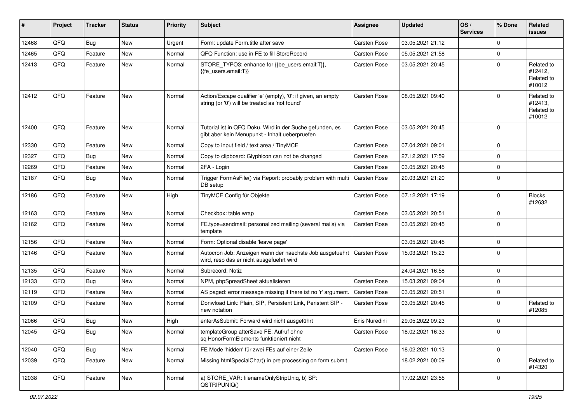| #     | Project | <b>Tracker</b> | <b>Status</b> | <b>Priority</b> | Subject                                                                                                        | <b>Assignee</b>     | <b>Updated</b>   | OS/<br><b>Services</b> | % Done         | Related<br><b>issues</b>                      |
|-------|---------|----------------|---------------|-----------------|----------------------------------------------------------------------------------------------------------------|---------------------|------------------|------------------------|----------------|-----------------------------------------------|
| 12468 | QFQ     | Bug            | New           | Urgent          | Form: update Form.title after save                                                                             | <b>Carsten Rose</b> | 03.05.2021 21:12 |                        | $\Omega$       |                                               |
| 12465 | QFQ     | Feature        | New           | Normal          | QFQ Function: use in FE to fill StoreRecord                                                                    | Carsten Rose        | 05.05.2021 21:58 |                        | $\mathbf 0$    |                                               |
| 12413 | QFQ     | Feature        | New           | Normal          | STORE_TYPO3: enhance for {{be_users.email:T}},<br>{{fe_users.email:T}}                                         | <b>Carsten Rose</b> | 03.05.2021 20:45 |                        | $\Omega$       | Related to<br>#12412,<br>Related to<br>#10012 |
| 12412 | QFQ     | Feature        | <b>New</b>    | Normal          | Action/Escape qualifier 'e' (empty), '0': if given, an empty<br>string (or '0') will be treated as 'not found' | Carsten Rose        | 08.05.2021 09:40 |                        | $\Omega$       | Related to<br>#12413.<br>Related to<br>#10012 |
| 12400 | QFQ     | Feature        | New           | Normal          | Tutorial ist in QFQ Doku, Wird in der Suche gefunden, es<br>gibt aber kein Menupunkt - Inhalt ueberpruefen     | <b>Carsten Rose</b> | 03.05.2021 20:45 |                        | $\Omega$       |                                               |
| 12330 | QFQ     | Feature        | New           | Normal          | Copy to input field / text area / TinyMCE                                                                      | <b>Carsten Rose</b> | 07.04.2021 09:01 |                        | $\mathbf 0$    |                                               |
| 12327 | QFQ     | <b>Bug</b>     | <b>New</b>    | Normal          | Copy to clipboard: Glyphicon can not be changed                                                                | <b>Carsten Rose</b> | 27.12.2021 17:59 |                        | $\Omega$       |                                               |
| 12269 | QFQ     | Feature        | New           | Normal          | 2FA - Login                                                                                                    | <b>Carsten Rose</b> | 03.05.2021 20:45 |                        | $\mathbf 0$    |                                               |
| 12187 | QFQ     | Bug            | New           | Normal          | Trigger FormAsFile() via Report: probably problem with multi<br>DB setup                                       | <b>Carsten Rose</b> | 20.03.2021 21:20 |                        | $\Omega$       |                                               |
| 12186 | QFQ     | Feature        | New           | High            | TinyMCE Config für Objekte                                                                                     | <b>Carsten Rose</b> | 07.12.2021 17:19 |                        | $\Omega$       | <b>Blocks</b><br>#12632                       |
| 12163 | QFQ     | Feature        | <b>New</b>    | Normal          | Checkbox: table wrap                                                                                           | <b>Carsten Rose</b> | 03.05.2021 20:51 |                        | $\Omega$       |                                               |
| 12162 | QFQ     | Feature        | New           | Normal          | FE.type=sendmail: personalized mailing (several mails) via<br>template                                         | <b>Carsten Rose</b> | 03.05.2021 20:45 |                        | $\Omega$       |                                               |
| 12156 | QFQ     | Feature        | New           | Normal          | Form: Optional disable 'leave page'                                                                            |                     | 03.05.2021 20:45 |                        | $\mathbf 0$    |                                               |
| 12146 | QFQ     | Feature        | New           | Normal          | Autocron Job: Anzeigen wann der naechste Job ausgefuehrt<br>wird, resp das er nicht ausgefuehrt wird           | <b>Carsten Rose</b> | 15.03.2021 15:23 |                        | $\Omega$       |                                               |
| 12135 | QFQ     | Feature        | New           | Normal          | Subrecord: Notiz                                                                                               |                     | 24.04.2021 16:58 |                        | $\Omega$       |                                               |
| 12133 | QFQ     | <b>Bug</b>     | New           | Normal          | NPM, phpSpreadSheet aktualisieren                                                                              | <b>Carsten Rose</b> | 15.03.2021 09:04 |                        | $\Omega$       |                                               |
| 12119 | QFQ     | Feature        | New           | Normal          | AS paged: error message missing if there ist no 'r' argument                                                   | <b>Carsten Rose</b> | 03.05.2021 20:51 |                        | $\Omega$       |                                               |
| 12109 | QFQ     | Feature        | New           | Normal          | Donwload Link: Plain, SIP, Persistent Link, Peristent SIP -<br>new notation                                    | <b>Carsten Rose</b> | 03.05.2021 20:45 |                        | $\Omega$       | Related to<br>#12085                          |
| 12066 | QFQ     | Bug            | New           | High            | enterAsSubmit: Forward wird nicht ausgeführt                                                                   | Enis Nuredini       | 29.05.2022 09:23 |                        | $\Omega$       |                                               |
| 12045 | QFQ     | <b>Bug</b>     | New           | Normal          | templateGroup afterSave FE: Aufruf ohne<br>sqlHonorFormElements funktioniert nicht                             | Carsten Rose        | 18.02.2021 16:33 |                        | $\overline{0}$ |                                               |
| 12040 | QFQ     | Bug            | New           | Normal          | FE Mode 'hidden' für zwei FEs auf einer Zeile                                                                  | <b>Carsten Rose</b> | 18.02.2021 10:13 |                        | 0              |                                               |
| 12039 | QFQ     | Feature        | New           | Normal          | Missing htmlSpecialChar() in pre processing on form submit                                                     |                     | 18.02.2021 00:09 |                        | $\Omega$       | Related to<br>#14320                          |
| 12038 | QFQ     | Feature        | New           | Normal          | a) STORE_VAR: filenameOnlyStripUniq, b) SP:<br>QSTRIPUNIQ()                                                    |                     | 17.02.2021 23:55 |                        | $\mathbf 0$    |                                               |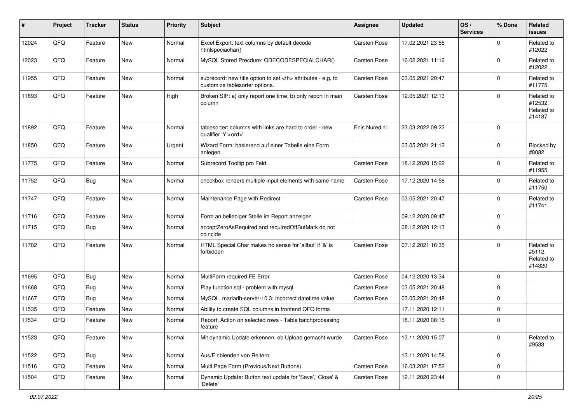| $\sharp$ | Project | <b>Tracker</b> | <b>Status</b> | <b>Priority</b> | Subject                                                                                              | <b>Assignee</b>                                        | <b>Updated</b>      | OS/<br><b>Services</b> | % Done      | Related<br><b>issues</b>                      |                      |
|----------|---------|----------------|---------------|-----------------|------------------------------------------------------------------------------------------------------|--------------------------------------------------------|---------------------|------------------------|-------------|-----------------------------------------------|----------------------|
| 12024    | QFQ     | Feature        | New           | Normal          | Excel Export: text columns by default decode<br>htmlspeciachar()                                     | Carsten Rose                                           | 17.02.2021 23:55    |                        | 0           | Related to<br>#12022                          |                      |
| 12023    | QFQ     | Feature        | New           | Normal          | MySQL Stored Precdure: QDECODESPECIALCHAR()                                                          | <b>Carsten Rose</b>                                    | 16.02.2021 11:16    |                        | $\Omega$    | Related to<br>#12022                          |                      |
| 11955    | QFQ     | Feature        | New           | Normal          | subrecord: new title option to set <th> attributes - e.g. to<br/>customize tablesorter options.</th> | attributes - e.g. to<br>customize tablesorter options. | <b>Carsten Rose</b> | 03.05.2021 20:47       |             | 0                                             | Related to<br>#11775 |
| 11893    | QFQ     | Feature        | New           | High            | Broken SIP: a) only report one time, b) only report in main<br>column                                | Carsten Rose                                           | 12.05.2021 12:13    |                        | $\mathbf 0$ | Related to<br>#12532,<br>Related to<br>#14187 |                      |
| 11892    | QFQ     | Feature        | New           | Normal          | tablesorter: columns with links are hard to order - new<br>qualifier 'Y: <ord>'</ord>                | Enis Nuredini                                          | 23.03.2022 09:22    |                        | $\Omega$    |                                               |                      |
| 11850    | QFQ     | Feature        | <b>New</b>    | Urgent          | Wizard Form: basierend auf einer Tabelle eine Form<br>anlegen.                                       |                                                        | 03.05.2021 21:12    |                        | $\Omega$    | Blocked by<br>#8082                           |                      |
| 11775    | QFQ     | Feature        | <b>New</b>    | Normal          | Subrecord Tooltip pro Feld                                                                           | <b>Carsten Rose</b>                                    | 18.12.2020 15:22    |                        | $\Omega$    | Related to<br>#11955                          |                      |
| 11752    | QFQ     | Bug            | New           | Normal          | checkbox renders multiple input elements with same name                                              | <b>Carsten Rose</b>                                    | 17.12.2020 14:58    |                        | $\Omega$    | Related to<br>#11750                          |                      |
| 11747    | QFQ     | Feature        | New           | Normal          | Maintenance Page with Redirect                                                                       | <b>Carsten Rose</b>                                    | 03.05.2021 20:47    |                        | $\Omega$    | Related to<br>#11741                          |                      |
| 11716    | QFQ     | Feature        | New           | Normal          | Form an beliebiger Stelle im Report anzeigen                                                         |                                                        | 09.12.2020 09:47    |                        | $\mathbf 0$ |                                               |                      |
| 11715    | QFQ     | Bug            | New           | Normal          | acceptZeroAsRequired and requiredOffButMark do not<br>coincide                                       |                                                        | 08.12.2020 12:13    |                        | $\Omega$    |                                               |                      |
| 11702    | QFQ     | Feature        | <b>New</b>    | Normal          | HTML Special Char makes no sense for 'allbut' if '&' is<br>forbidden                                 | <b>Carsten Rose</b>                                    | 07.12.2021 16:35    |                        | $\Omega$    | Related to<br>#5112,<br>Related to<br>#14320  |                      |
| 11695    | QFQ     | Bug            | New           | Normal          | MultiForm required FE Error                                                                          | <b>Carsten Rose</b>                                    | 04.12.2020 13:34    |                        | $\mathbf 0$ |                                               |                      |
| 11668    | QFQ     | Bug            | New           | Normal          | Play function.sql - problem with mysql                                                               | <b>Carsten Rose</b>                                    | 03.05.2021 20:48    |                        | $\Omega$    |                                               |                      |
| 11667    | QFQ     | Bug            | New           | Normal          | MySQL mariadb-server-10.3: Incorrect datetime value                                                  | <b>Carsten Rose</b>                                    | 03.05.2021 20:48    |                        | 0           |                                               |                      |
| 11535    | QFQ     | Feature        | New           | Normal          | Ability to create SQL columns in frontend QFQ forms                                                  |                                                        | 17.11.2020 12:11    |                        | $\mathbf 0$ |                                               |                      |
| 11534    | QFQ     | Feature        | New           | Normal          | Report: Action on selected rows - Table batchprocessing<br>feature                                   |                                                        | 18.11.2020 08:15    |                        | $\mathbf 0$ |                                               |                      |
| 11523    | QFQ     | Feature        | New           | Normal          | Mit dynamic Update erkennen, ob Upload gemacht wurde                                                 | Carsten Rose                                           | 13.11.2020 15:07    |                        | $\mathbf 0$ | Related to<br>#9533                           |                      |
| 11522    | QFQ     | <b>Bug</b>     | New           | Normal          | Aus/Einblenden von Reitern                                                                           |                                                        | 13.11.2020 14:58    |                        | $\mathbf 0$ |                                               |                      |
| 11516    | QFQ     | Feature        | New           | Normal          | Multi Page Form (Previous/Next Buttons)                                                              | Carsten Rose                                           | 16.03.2021 17:52    |                        | $\mathbf 0$ |                                               |                      |
| 11504    | QFQ     | Feature        | New           | Normal          | Dynamic Update: Button text update for 'Save',' Close' &<br>'Delete'                                 | Carsten Rose                                           | 12.11.2020 23:44    |                        | $\mathbf 0$ |                                               |                      |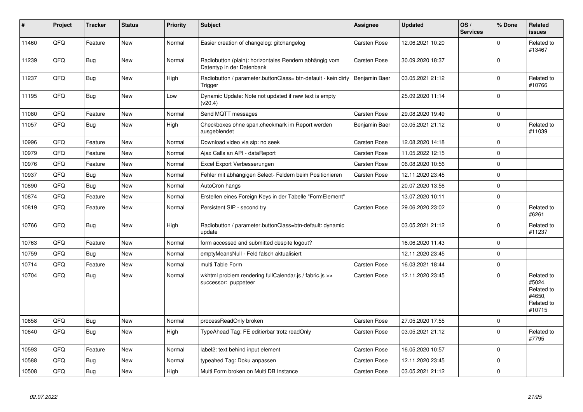| #     | Project | <b>Tracker</b> | <b>Status</b> | <b>Priority</b> | <b>Subject</b>                                                                      | Assignee            | <b>Updated</b>   | OS/<br><b>Services</b> | % Done      | Related<br><b>issues</b>                                             |
|-------|---------|----------------|---------------|-----------------|-------------------------------------------------------------------------------------|---------------------|------------------|------------------------|-------------|----------------------------------------------------------------------|
| 11460 | QFQ     | Feature        | <b>New</b>    | Normal          | Easier creation of changelog: gitchangelog                                          | <b>Carsten Rose</b> | 12.06.2021 10:20 |                        | $\Omega$    | Related to<br>#13467                                                 |
| 11239 | QFQ     | <b>Bug</b>     | <b>New</b>    | Normal          | Radiobutton (plain): horizontales Rendern abhängig vom<br>Datentyp in der Datenbank | Carsten Rose        | 30.09.2020 18:37 |                        | $\Omega$    |                                                                      |
| 11237 | QFQ     | <b>Bug</b>     | <b>New</b>    | High            | Radiobutton / parameter.buttonClass= btn-default - kein dirty<br>Trigger            | Benjamin Baer       | 03.05.2021 21:12 |                        | $\Omega$    | Related to<br>#10766                                                 |
| 11195 | QFQ     | Bug            | <b>New</b>    | Low             | Dynamic Update: Note not updated if new text is empty<br>(v20.4)                    |                     | 25.09.2020 11:14 |                        | $\Omega$    |                                                                      |
| 11080 | QFQ     | Feature        | <b>New</b>    | Normal          | Send MQTT messages                                                                  | <b>Carsten Rose</b> | 29.08.2020 19:49 |                        | $\Omega$    |                                                                      |
| 11057 | QFQ     | <b>Bug</b>     | <b>New</b>    | High            | Checkboxes ohne span.checkmark im Report werden<br>ausgeblendet                     | Benjamin Baer       | 03.05.2021 21:12 |                        | $\Omega$    | Related to<br>#11039                                                 |
| 10996 | QFQ     | Feature        | <b>New</b>    | Normal          | Download video via sip: no seek                                                     | <b>Carsten Rose</b> | 12.08.2020 14:18 |                        | $\Omega$    |                                                                      |
| 10979 | QFQ     | Feature        | <b>New</b>    | Normal          | Ajax Calls an API - dataReport                                                      | Carsten Rose        | 11.05.2022 12:15 |                        | $\Omega$    |                                                                      |
| 10976 | QFQ     | Feature        | New           | Normal          | Excel Export Verbesserungen                                                         | <b>Carsten Rose</b> | 06.08.2020 10:56 |                        | 0           |                                                                      |
| 10937 | QFQ     | <b>Bug</b>     | <b>New</b>    | Normal          | Fehler mit abhängigen Select- Feldern beim Positionieren                            | Carsten Rose        | 12.11.2020 23:45 |                        | $\Omega$    |                                                                      |
| 10890 | QFQ     | Bug            | <b>New</b>    | Normal          | AutoCron hangs                                                                      |                     | 20.07.2020 13:56 |                        | $\Omega$    |                                                                      |
| 10874 | QFQ     | Feature        | <b>New</b>    | Normal          | Erstellen eines Foreign Keys in der Tabelle "FormElement"                           |                     | 13.07.2020 10:11 |                        | $\mathbf 0$ |                                                                      |
| 10819 | QFQ     | Feature        | New           | Normal          | Persistent SIP - second try                                                         | Carsten Rose        | 29.06.2020 23:02 |                        | $\Omega$    | Related to<br>#6261                                                  |
| 10766 | QFQ     | Bug            | New           | High            | Radiobutton / parameter.buttonClass=btn-default: dynamic<br>update                  |                     | 03.05.2021 21:12 |                        | $\Omega$    | Related to<br>#11237                                                 |
| 10763 | QFQ     | Feature        | <b>New</b>    | Normal          | form accessed and submitted despite logout?                                         |                     | 16.06.2020 11:43 |                        | $\Omega$    |                                                                      |
| 10759 | QFQ     | Bug            | <b>New</b>    | Normal          | emptyMeansNull - Feld falsch aktualisiert                                           |                     | 12.11.2020 23:45 |                        | $\Omega$    |                                                                      |
| 10714 | QFQ     | Feature        | <b>New</b>    | Normal          | multi Table Form                                                                    | Carsten Rose        | 16.03.2021 18:44 |                        | $\mathbf 0$ |                                                                      |
| 10704 | QFQ     | Bug            | New           | Normal          | wkhtml problem rendering fullCalendar.js / fabric.js >><br>successor: puppeteer     | <b>Carsten Rose</b> | 12.11.2020 23:45 |                        | $\Omega$    | Related to<br>#5024,<br>Related to<br>#4650,<br>Related to<br>#10715 |
| 10658 | QFQ     | <b>Bug</b>     | <b>New</b>    | Normal          | processReadOnly broken                                                              | Carsten Rose        | 27.05.2020 17:55 |                        | $\mathbf 0$ |                                                                      |
| 10640 | QFQ     | Bug            | <b>New</b>    | High            | TypeAhead Tag: FE editierbar trotz readOnly                                         | Carsten Rose        | 03.05.2021 21:12 |                        | $\Omega$    | Related to<br>#7795                                                  |
| 10593 | QFQ     | Feature        | New           | Normal          | label2: text behind input element                                                   | Carsten Rose        | 16.05.2020 10:57 |                        | $\mathbf 0$ |                                                                      |
| 10588 | QFQ     | Bug            | New           | Normal          | typeahed Tag: Doku anpassen                                                         | <b>Carsten Rose</b> | 12.11.2020 23:45 |                        | $\Omega$    |                                                                      |
| 10508 | QFQ     | Bug            | New           | High            | Multi Form broken on Multi DB Instance                                              | <b>Carsten Rose</b> | 03.05.2021 21:12 |                        | $\Omega$    |                                                                      |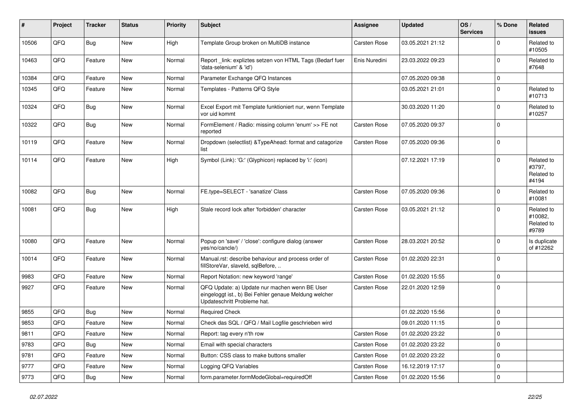| ∦     | Project | <b>Tracker</b> | <b>Status</b> | <b>Priority</b> | Subject                                                                                                                               | Assignee            | <b>Updated</b>   | OS/<br><b>Services</b> | % Done      | Related<br><b>issues</b>                     |
|-------|---------|----------------|---------------|-----------------|---------------------------------------------------------------------------------------------------------------------------------------|---------------------|------------------|------------------------|-------------|----------------------------------------------|
| 10506 | QFQ     | <b>Bug</b>     | New           | High            | Template Group broken on MultiDB instance                                                                                             | Carsten Rose        | 03.05.2021 21:12 |                        | $\Omega$    | Related to<br>#10505                         |
| 10463 | QFQ     | Feature        | New           | Normal          | Report_link: expliztes setzen von HTML Tags (Bedarf fuer<br>'data-selenium' & 'id')                                                   | Enis Nuredini       | 23.03.2022 09:23 |                        | $\Omega$    | Related to<br>#7648                          |
| 10384 | QFQ     | Feature        | <b>New</b>    | Normal          | Parameter Exchange QFQ Instances                                                                                                      |                     | 07.05.2020 09:38 |                        | $\mathbf 0$ |                                              |
| 10345 | QFQ     | Feature        | <b>New</b>    | Normal          | Templates - Patterns QFQ Style                                                                                                        |                     | 03.05.2021 21:01 |                        | $\Omega$    | Related to<br>#10713                         |
| 10324 | QFQ     | <b>Bug</b>     | New           | Normal          | Excel Export mit Template funktioniert nur, wenn Template<br>vor uid kommt                                                            |                     | 30.03.2020 11:20 |                        | $\Omega$    | Related to<br>#10257                         |
| 10322 | QFQ     | <b>Bug</b>     | New           | Normal          | FormElement / Radio: missing column 'enum' >> FE not<br>reported                                                                      | <b>Carsten Rose</b> | 07.05.2020 09:37 |                        | $\mathbf 0$ |                                              |
| 10119 | QFQ     | Feature        | <b>New</b>    | Normal          | Dropdown (selectlist) & TypeAhead: format and catagorize<br>list                                                                      | <b>Carsten Rose</b> | 07.05.2020 09:36 |                        | $\mathbf 0$ |                                              |
| 10114 | QFQ     | Feature        | New           | High            | Symbol (Link): 'G:' (Glyphicon) replaced by 'i:' (icon)                                                                               |                     | 07.12.2021 17:19 |                        | $\Omega$    | Related to<br>#3797,<br>Related to<br>#4194  |
| 10082 | QFQ     | <b>Bug</b>     | <b>New</b>    | Normal          | FE.type=SELECT - 'sanatize' Class                                                                                                     | <b>Carsten Rose</b> | 07.05.2020 09:36 |                        | $\Omega$    | Related to<br>#10081                         |
| 10081 | QFQ     | Bug            | <b>New</b>    | High            | Stale record lock after 'forbidden' character                                                                                         | Carsten Rose        | 03.05.2021 21:12 |                        | $\Omega$    | Related to<br>#10082,<br>Related to<br>#9789 |
| 10080 | QFQ     | Feature        | New           | Normal          | Popup on 'save' / 'close': configure dialog (answer<br>yes/no/cancle/)                                                                | <b>Carsten Rose</b> | 28.03.2021 20:52 |                        | $\Omega$    | Is duplicate<br>of #12262                    |
| 10014 | QFQ     | Feature        | <b>New</b>    | Normal          | Manual.rst: describe behaviour and process order of<br>fillStoreVar, slaveId, sqlBefore,                                              | <b>Carsten Rose</b> | 01.02.2020 22:31 |                        | 0           |                                              |
| 9983  | QFQ     | Feature        | <b>New</b>    | Normal          | Report Notation: new keyword 'range'                                                                                                  | <b>Carsten Rose</b> | 01.02.2020 15:55 |                        | $\mathbf 0$ |                                              |
| 9927  | QFQ     | Feature        | <b>New</b>    | Normal          | QFQ Update: a) Update nur machen wenn BE User<br>eingeloggt ist., b) Bei Fehler genaue Meldung welcher<br>Updateschritt Probleme hat. | <b>Carsten Rose</b> | 22.01.2020 12:59 |                        | $\Omega$    |                                              |
| 9855  | QFQ     | <b>Bug</b>     | <b>New</b>    | Normal          | <b>Required Check</b>                                                                                                                 |                     | 01.02.2020 15:56 |                        | $\mathbf 0$ |                                              |
| 9853  | QFQ     | Feature        | New           | Normal          | Check das SQL / QFQ / Mail Logfile geschrieben wird                                                                                   |                     | 09.01.2020 11:15 |                        | $\Omega$    |                                              |
| 9811  | QFQ     | Feature        | New           | Normal          | Report: tag every n'th row                                                                                                            | <b>Carsten Rose</b> | 01.02.2020 23:22 |                        | 0           |                                              |
| 9783  | QFQ     | <b>Bug</b>     | New           | Normal          | Email with special characters                                                                                                         | Carsten Rose        | 01.02.2020 23:22 |                        | $\mathbf 0$ |                                              |
| 9781  | QFQ     | Feature        | New           | Normal          | Button: CSS class to make buttons smaller                                                                                             | Carsten Rose        | 01.02.2020 23:22 |                        | $\mathbf 0$ |                                              |
| 9777  | QFQ     | Feature        | New           | Normal          | Logging QFQ Variables                                                                                                                 | Carsten Rose        | 16.12.2019 17:17 |                        | $\mathbf 0$ |                                              |
| 9773  | QFG     | <b>Bug</b>     | New           | Normal          | form.parameter.formModeGlobal=requiredOff                                                                                             | Carsten Rose        | 01.02.2020 15:56 |                        | $\mathbf 0$ |                                              |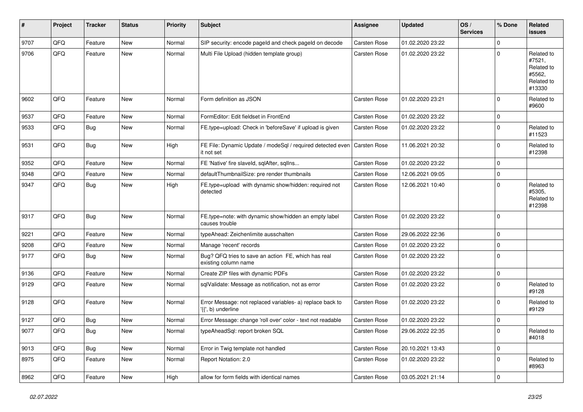| #    | Project | <b>Tracker</b> | <b>Status</b> | <b>Priority</b> | Subject                                                                         | <b>Assignee</b>     | <b>Updated</b>   | OS/<br><b>Services</b> | % Done         | Related<br><b>issues</b>                                             |
|------|---------|----------------|---------------|-----------------|---------------------------------------------------------------------------------|---------------------|------------------|------------------------|----------------|----------------------------------------------------------------------|
| 9707 | QFQ     | Feature        | <b>New</b>    | Normal          | SIP security: encode pageld and check pageld on decode                          | Carsten Rose        | 01.02.2020 23:22 |                        | $\Omega$       |                                                                      |
| 9706 | QFQ     | Feature        | <b>New</b>    | Normal          | Multi File Upload (hidden template group)                                       | <b>Carsten Rose</b> | 01.02.2020 23:22 |                        | $\Omega$       | Related to<br>#7521,<br>Related to<br>#5562.<br>Related to<br>#13330 |
| 9602 | QFQ     | Feature        | <b>New</b>    | Normal          | Form definition as JSON                                                         | Carsten Rose        | 01.02.2020 23:21 |                        | $\Omega$       | Related to<br>#9600                                                  |
| 9537 | QFQ     | Feature        | <b>New</b>    | Normal          | FormEditor: Edit fieldset in FrontEnd                                           | Carsten Rose        | 01.02.2020 23:22 |                        | $\mathbf 0$    |                                                                      |
| 9533 | QFQ     | Bug            | New           | Normal          | FE.type=upload: Check in 'beforeSave' if upload is given                        | Carsten Rose        | 01.02.2020 23:22 |                        | $\Omega$       | Related to<br>#11523                                                 |
| 9531 | QFQ     | Bug            | New           | High            | FE File: Dynamic Update / modeSql / required detected even<br>it not set        | <b>Carsten Rose</b> | 11.06.2021 20:32 |                        | $\Omega$       | Related to<br>#12398                                                 |
| 9352 | QFQ     | Feature        | <b>New</b>    | Normal          | FE 'Native' fire slaveld, sqlAfter, sqlIns                                      | Carsten Rose        | 01.02.2020 23:22 |                        | $\mathbf 0$    |                                                                      |
| 9348 | QFQ     | Feature        | New           | Normal          | defaultThumbnailSize: pre render thumbnails                                     | <b>Carsten Rose</b> | 12.06.2021 09:05 |                        | $\Omega$       |                                                                      |
| 9347 | QFQ     | Bug            | New           | High            | FE.type=upload with dynamic show/hidden: required not<br>detected               | Carsten Rose        | 12.06.2021 10:40 |                        | $\Omega$       | Related to<br>#5305,<br>Related to<br>#12398                         |
| 9317 | QFQ     | Bug            | <b>New</b>    | Normal          | FE.type=note: with dynamic show/hidden an empty label<br>causes trouble         | Carsten Rose        | 01.02.2020 23:22 |                        | $\mathbf 0$    |                                                                      |
| 9221 | QFQ     | Feature        | <b>New</b>    | Normal          | typeAhead: Zeichenlimite ausschalten                                            | Carsten Rose        | 29.06.2022 22:36 |                        | $\Omega$       |                                                                      |
| 9208 | QFQ     | Feature        | New           | Normal          | Manage 'recent' records                                                         | <b>Carsten Rose</b> | 01.02.2020 23:22 |                        | $\Omega$       |                                                                      |
| 9177 | QFQ     | <b>Bug</b>     | New           | Normal          | Bug? QFQ tries to save an action FE, which has real<br>existing column name     | Carsten Rose        | 01.02.2020 23:22 |                        | $\Omega$       |                                                                      |
| 9136 | QFQ     | Feature        | New           | Normal          | Create ZIP files with dynamic PDFs                                              | <b>Carsten Rose</b> | 01.02.2020 23:22 |                        | $\Omega$       |                                                                      |
| 9129 | QFQ     | Feature        | New           | Normal          | sqlValidate: Message as notification, not as error                              | Carsten Rose        | 01.02.2020 23:22 |                        | $\Omega$       | Related to<br>#9128                                                  |
| 9128 | QFQ     | Feature        | <b>New</b>    | Normal          | Error Message: not replaced variables- a) replace back to<br>'{{', b) underline | Carsten Rose        | 01.02.2020 23:22 |                        | $\Omega$       | Related to<br>#9129                                                  |
| 9127 | QFQ     | <b>Bug</b>     | New           | Normal          | Error Message: change 'roll over' color - text not readable                     | Carsten Rose        | 01.02.2020 23:22 |                        | $\mathbf 0$    |                                                                      |
| 9077 | QFG     | <b>Bug</b>     | New           | Normal          | typeAheadSql: report broken SQL                                                 | Carsten Rose        | 29.06.2022 22:35 |                        | $\overline{0}$ | Related to<br>#4018                                                  |
| 9013 | QFQ     | Bug            | New           | Normal          | Error in Twig template not handled                                              | Carsten Rose        | 20.10.2021 13:43 |                        | $\mathbf 0$    |                                                                      |
| 8975 | QFQ     | Feature        | New           | Normal          | Report Notation: 2.0                                                            | <b>Carsten Rose</b> | 01.02.2020 23:22 |                        | $\mathbf 0$    | Related to<br>#8963                                                  |
| 8962 | QFO     | Feature        | New           | High            | allow for form fields with identical names                                      | Carsten Rose        | 03.05.2021 21:14 |                        | $\mathbf 0$    |                                                                      |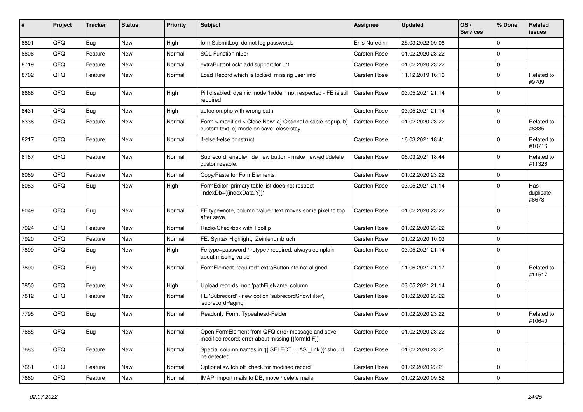| ∦    | Project | <b>Tracker</b> | <b>Status</b> | <b>Priority</b> | <b>Subject</b>                                                                                         | <b>Assignee</b>     | <b>Updated</b>   | OS/<br><b>Services</b> | % Done      | Related<br><b>issues</b>  |
|------|---------|----------------|---------------|-----------------|--------------------------------------------------------------------------------------------------------|---------------------|------------------|------------------------|-------------|---------------------------|
| 8891 | QFQ     | Bug            | New           | High            | formSubmitLog: do not log passwords                                                                    | Enis Nuredini       | 25.03.2022 09:06 |                        | $\Omega$    |                           |
| 8806 | QFQ     | Feature        | <b>New</b>    | Normal          | SQL Function nl2br                                                                                     | <b>Carsten Rose</b> | 01.02.2020 23:22 |                        | $\Omega$    |                           |
| 8719 | QFQ     | Feature        | <b>New</b>    | Normal          | extraButtonLock: add support for 0/1                                                                   | Carsten Rose        | 01.02.2020 23:22 |                        | $\mathbf 0$ |                           |
| 8702 | QFQ     | Feature        | <b>New</b>    | Normal          | Load Record which is locked: missing user info                                                         | <b>Carsten Rose</b> | 11.12.2019 16:16 |                        | $\Omega$    | Related to<br>#9789       |
| 8668 | QFQ     | Bug            | <b>New</b>    | High            | Pill disabled: dyamic mode 'hidden' not respected - FE is still<br>required                            | <b>Carsten Rose</b> | 03.05.2021 21:14 |                        | $\Omega$    |                           |
| 8431 | QFQ     | Bug            | <b>New</b>    | High            | autocron.php with wrong path                                                                           | <b>Carsten Rose</b> | 03.05.2021 21:14 |                        | $\mathbf 0$ |                           |
| 8336 | QFQ     | Feature        | <b>New</b>    | Normal          | Form > modified > Close New: a) Optional disable popup, b)<br>custom text, c) mode on save: close stay | <b>Carsten Rose</b> | 01.02.2020 23:22 |                        | $\Omega$    | Related to<br>#8335       |
| 8217 | QFQ     | Feature        | <b>New</b>    | Normal          | if-elseif-else construct                                                                               | <b>Carsten Rose</b> | 16.03.2021 18:41 |                        | $\Omega$    | Related to<br>#10716      |
| 8187 | QFQ     | Feature        | New           | Normal          | Subrecord: enable/hide new button - make new/edit/delete<br>customizeable.                             | <b>Carsten Rose</b> | 06.03.2021 18:44 |                        | $\Omega$    | Related to<br>#11326      |
| 8089 | QFQ     | Feature        | <b>New</b>    | Normal          | Copy/Paste for FormElements                                                                            | <b>Carsten Rose</b> | 01.02.2020 23:22 |                        | $\mathbf 0$ |                           |
| 8083 | QFQ     | Bug            | <b>New</b>    | High            | FormEditor: primary table list does not respect<br>'indexDb={{indexData:Y}}'                           | <b>Carsten Rose</b> | 03.05.2021 21:14 |                        | $\Omega$    | Has<br>duplicate<br>#6678 |
| 8049 | QFQ     | Bug            | <b>New</b>    | Normal          | FE.type=note, column 'value': text moves some pixel to top<br>after save                               | <b>Carsten Rose</b> | 01.02.2020 23:22 |                        | $\Omega$    |                           |
| 7924 | QFQ     | Feature        | <b>New</b>    | Normal          | Radio/Checkbox with Tooltip                                                                            | <b>Carsten Rose</b> | 01.02.2020 23:22 |                        | $\mathbf 0$ |                           |
| 7920 | QFQ     | Feature        | New           | Normal          | FE: Syntax Highlight, Zeinlenumbruch                                                                   | <b>Carsten Rose</b> | 01.02.2020 10:03 |                        | $\mathbf 0$ |                           |
| 7899 | QFQ     | Bug            | <b>New</b>    | High            | Fe.type=password / retype / required: always complain<br>about missing value                           | <b>Carsten Rose</b> | 03.05.2021 21:14 |                        | $\Omega$    |                           |
| 7890 | QFQ     | Bug            | <b>New</b>    | Normal          | FormElement 'required': extraButtonInfo not aligned                                                    | <b>Carsten Rose</b> | 11.06.2021 21:17 |                        | $\mathbf 0$ | Related to<br>#11517      |
| 7850 | QFQ     | Feature        | <b>New</b>    | High            | Upload records: non 'pathFileName' column                                                              | <b>Carsten Rose</b> | 03.05.2021 21:14 |                        | $\mathbf 0$ |                           |
| 7812 | QFQ     | Feature        | <b>New</b>    | Normal          | FE 'Subrecord' - new option 'subrecordShowFilter',<br>'subrecordPaging'                                | <b>Carsten Rose</b> | 01.02.2020 23:22 |                        | $\Omega$    |                           |
| 7795 | QFQ     | Bug            | <b>New</b>    | Normal          | Readonly Form: Typeahead-Felder                                                                        | <b>Carsten Rose</b> | 01.02.2020 23:22 |                        | $\Omega$    | Related to<br>#10640      |
| 7685 | QFQ     | <b>Bug</b>     | New           | Normal          | Open FormElement from QFQ error message and save<br>modified record: error about missing {{formId:F}}  | Carsten Rose        | 01.02.2020 23:22 |                        | 0           |                           |
| 7683 | QFQ     | Feature        | New           | Normal          | Special column names in '{{ SELECT  AS _link }}' should<br>be detected                                 | Carsten Rose        | 01.02.2020 23:21 |                        | $\mathbf 0$ |                           |
| 7681 | QFQ     | Feature        | New           | Normal          | Optional switch off 'check for modified record'                                                        | Carsten Rose        | 01.02.2020 23:21 |                        | 0           |                           |
| 7660 | QFG     | Feature        | New           | Normal          | IMAP: import mails to DB, move / delete mails                                                          | Carsten Rose        | 01.02.2020 09:52 |                        | $\mathbf 0$ |                           |